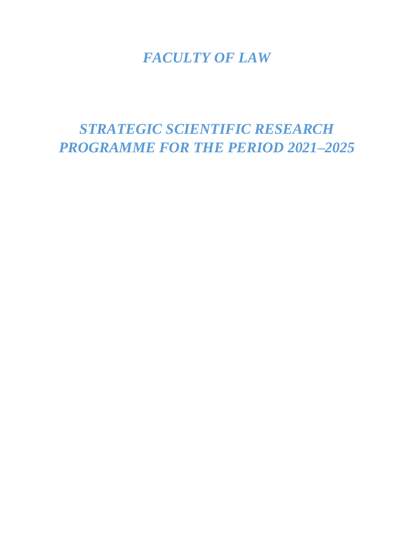# *FACULTY OF LAW*

*STRATEGIC SCIENTIFIC RESEARCH PROGRAMME FOR THE PERIOD 2021–2025*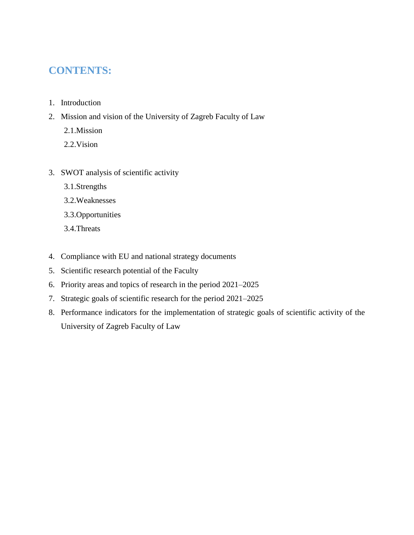# **CONTENTS:**

- 1. Introduction
- 2. Mission and vision of the University of Zagreb Faculty of Law
	- 2.1.Mission
	- 2.2.Vision
- 3. SWOT analysis of scientific activity
	- 3.1.Strengths
	- 3.2.Weaknesses
	- 3.3.Opportunities
	- 3.4.Threats
- 4. Compliance with EU and national strategy documents
- 5. Scientific research potential of the Faculty
- 6. Priority areas and topics of research in the period 2021–2025
- 7. Strategic goals of scientific research for the period 2021–2025
- 8. Performance indicators for the implementation of strategic goals of scientific activity of the University of Zagreb Faculty of Law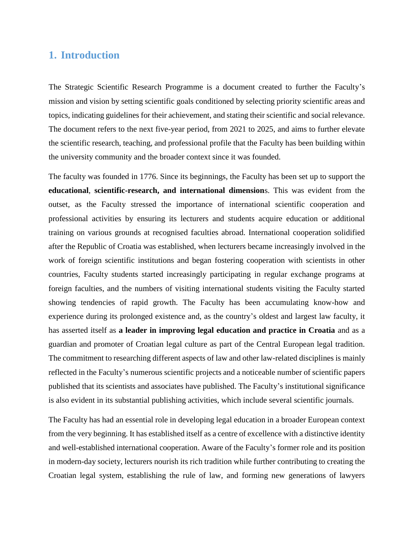## **1. Introduction**

The Strategic Scientific Research Programme is a document created to further the Faculty's mission and vision by setting scientific goals conditioned by selecting priority scientific areas and topics, indicating guidelines for their achievement, and stating their scientific and social relevance. The document refers to the next five-year period, from 2021 to 2025, and aims to further elevate the scientific research, teaching, and professional profile that the Faculty has been building within the university community and the broader context since it was founded.

The faculty was founded in 1776. Since its beginnings, the Faculty has been set up to support the **educational**, **scientific-research, and international dimension**s. This was evident from the outset, as the Faculty stressed the importance of international scientific cooperation and professional activities by ensuring its lecturers and students acquire education or additional training on various grounds at recognised faculties abroad. International cooperation solidified after the Republic of Croatia was established, when lecturers became increasingly involved in the work of foreign scientific institutions and began fostering cooperation with scientists in other countries, Faculty students started increasingly participating in regular exchange programs at foreign faculties, and the numbers of visiting international students visiting the Faculty started showing tendencies of rapid growth. The Faculty has been accumulating know-how and experience during its prolonged existence and, as the country's oldest and largest law faculty, it has asserted itself as **a leader in improving legal education and practice in Croatia** and as a guardian and promoter of Croatian legal culture as part of the Central European legal tradition. The commitment to researching different aspects of law and other law-related disciplines is mainly reflected in the Faculty's numerous scientific projects and a noticeable number of scientific papers published that its scientists and associates have published. The Faculty's institutional significance is also evident in its substantial publishing activities, which include several scientific journals.

The Faculty has had an essential role in developing legal education in a broader European context from the very beginning. It has established itself as a centre of excellence with a distinctive identity and well-established international cooperation. Aware of the Faculty's former role and its position in modern-day society, lecturers nourish its rich tradition while further contributing to creating the Croatian legal system, establishing the rule of law, and forming new generations of lawyers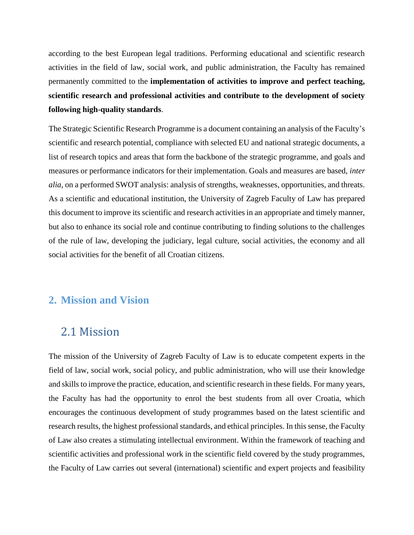according to the best European legal traditions. Performing educational and scientific research activities in the field of law, social work, and public administration, the Faculty has remained permanently committed to the **implementation of activities to improve and perfect teaching, scientific research and professional activities and contribute to the development of society following high-quality standards**.

The Strategic Scientific Research Programme is a document containing an analysis of the Faculty's scientific and research potential, compliance with selected EU and national strategic documents, a list of research topics and areas that form the backbone of the strategic programme, and goals and measures or performance indicators for their implementation. Goals and measures are based, *inter alia*, on a performed SWOT analysis: analysis of strengths, weaknesses, opportunities, and threats. As a scientific and educational institution, the University of Zagreb Faculty of Law has prepared this document to improve its scientific and research activities in an appropriate and timely manner, but also to enhance its social role and continue contributing to finding solutions to the challenges of the rule of law, developing the judiciary, legal culture, social activities, the economy and all social activities for the benefit of all Croatian citizens.

## **2. Mission and Vision**

# 2.1 Mission

The mission of the University of Zagreb Faculty of Law is to educate competent experts in the field of law, social work, social policy, and public administration, who will use their knowledge and skills to improve the practice, education, and scientific research in these fields. For many years, the Faculty has had the opportunity to enrol the best students from all over Croatia, which encourages the continuous development of study programmes based on the latest scientific and research results, the highest professional standards, and ethical principles. In this sense, the Faculty of Law also creates a stimulating intellectual environment. Within the framework of teaching and scientific activities and professional work in the scientific field covered by the study programmes, the Faculty of Law carries out several (international) scientific and expert projects and feasibility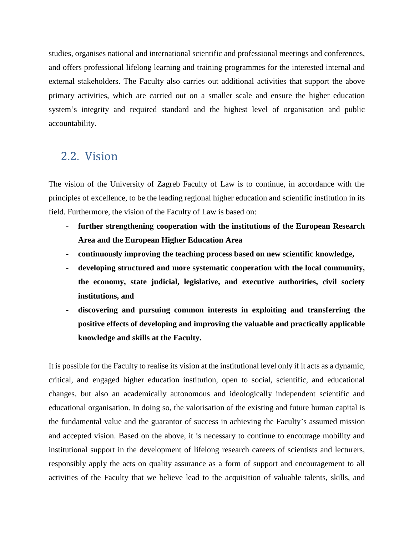studies, organises national and international scientific and professional meetings and conferences, and offers professional lifelong learning and training programmes for the interested internal and external stakeholders. The Faculty also carries out additional activities that support the above primary activities, which are carried out on a smaller scale and ensure the higher education system's integrity and required standard and the highest level of organisation and public accountability.

# 2.2. Vision

The vision of the University of Zagreb Faculty of Law is to continue, in accordance with the principles of excellence, to be the leading regional higher education and scientific institution in its field. Furthermore, the vision of the Faculty of Law is based on:

- further strengthening cooperation with the institutions of the European Research **Area and the European Higher Education Area**
- **continuously improving the teaching process based on new scientific knowledge,**
- **developing structured and more systematic cooperation with the local community, the economy, state judicial, legislative, and executive authorities, civil society institutions, and**
- **discovering and pursuing common interests in exploiting and transferring the positive effects of developing and improving the valuable and practically applicable knowledge and skills at the Faculty.**

It is possible for the Faculty to realise its vision at the institutional level only if it acts as a dynamic, critical, and engaged higher education institution, open to social, scientific, and educational changes, but also an academically autonomous and ideologically independent scientific and educational organisation. In doing so, the valorisation of the existing and future human capital is the fundamental value and the guarantor of success in achieving the Faculty's assumed mission and accepted vision. Based on the above, it is necessary to continue to encourage mobility and institutional support in the development of lifelong research careers of scientists and lecturers, responsibly apply the acts on quality assurance as a form of support and encouragement to all activities of the Faculty that we believe lead to the acquisition of valuable talents, skills, and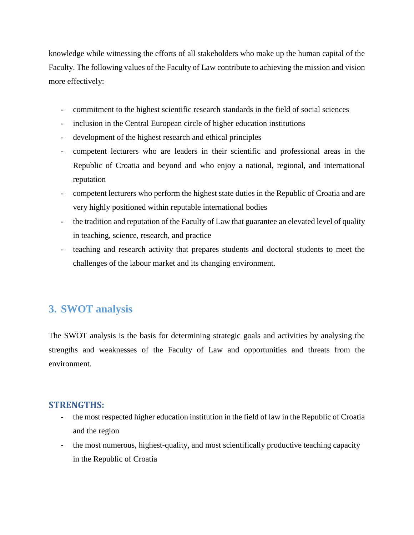knowledge while witnessing the efforts of all stakeholders who make up the human capital of the Faculty. The following values of the Faculty of Law contribute to achieving the mission and vision more effectively:

- commitment to the highest scientific research standards in the field of social sciences
- inclusion in the Central European circle of higher education institutions
- development of the highest research and ethical principles
- competent lecturers who are leaders in their scientific and professional areas in the Republic of Croatia and beyond and who enjoy a national, regional, and international reputation
- competent lecturers who perform the highest state duties in the Republic of Croatia and are very highly positioned within reputable international bodies
- the tradition and reputation of the Faculty of Law that guarantee an elevated level of quality in teaching, science, research, and practice
- teaching and research activity that prepares students and doctoral students to meet the challenges of the labour market and its changing environment.

# **3. SWOT analysis**

The SWOT analysis is the basis for determining strategic goals and activities by analysing the strengths and weaknesses of the Faculty of Law and opportunities and threats from the environment.

#### **STRENGTHS:**

- the most respected higher education institution in the field of law in the Republic of Croatia and the region
- the most numerous, highest-quality, and most scientifically productive teaching capacity in the Republic of Croatia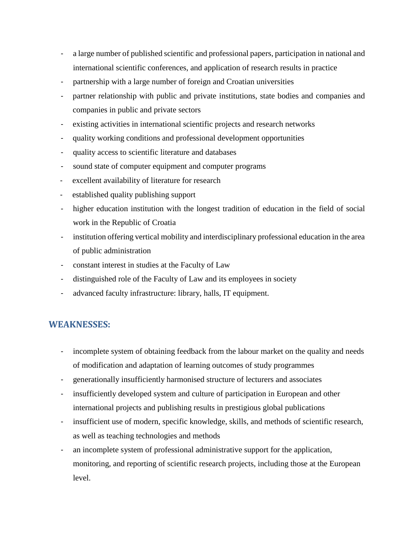- a large number of published scientific and professional papers, participation in national and international scientific conferences, and application of research results in practice
- partnership with a large number of foreign and Croatian universities
- partner relationship with public and private institutions, state bodies and companies and companies in public and private sectors
- existing activities in international scientific projects and research networks
- quality working conditions and professional development opportunities
- quality access to scientific literature and databases
- sound state of computer equipment and computer programs
- excellent availability of literature for research
- established quality publishing support
- higher education institution with the longest tradition of education in the field of social work in the Republic of Croatia
- institution offering vertical mobility and interdisciplinary professional education in the area of public administration
- constant interest in studies at the Faculty of Law
- distinguished role of the Faculty of Law and its employees in society
- advanced faculty infrastructure: library, halls, IT equipment.

#### **WEAKNESSES:**

- incomplete system of obtaining feedback from the labour market on the quality and needs of modification and adaptation of learning outcomes of study programmes
- generationally insufficiently harmonised structure of lecturers and associates
- insufficiently developed system and culture of participation in European and other international projects and publishing results in prestigious global publications
- insufficient use of modern, specific knowledge, skills, and methods of scientific research, as well as teaching technologies and methods
- an incomplete system of professional administrative support for the application, monitoring, and reporting of scientific research projects, including those at the European level.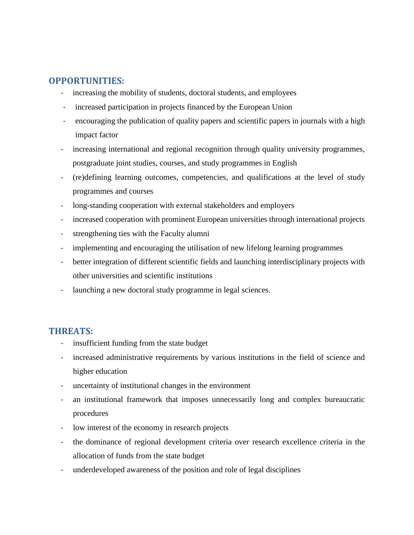## **OPPORTUNITIES:**

- increasing the mobility of students, doctoral students, and employees
- increased participation in projects financed by the European Union
- encouraging the publication of quality papers and scientific papers in journals with a high impact factor
- increasing international and regional recognition through quality university programmes, postgraduate joint studies, courses, and study programmes in English
- (re)defining learning outcomes, competencies, and qualifications at the level of study programmes and courses
- long-standing cooperation with external stakeholders and employers
- increased cooperation with prominent European universities through international projects
- strengthening ties with the Faculty alumni
- implementing and encouraging the utilisation of new lifelong learning programmes
- better integration of different scientific fields and launching interdisciplinary projects with other universities and scientific institutions
- launching a new doctoral study programme in legal sciences.

#### **THREATS:**

- insufficient funding from the state budget
- increased administrative requirements by various institutions in the field of science and higher education
- uncertainty of institutional changes in the environment
- an institutional framework that imposes unnecessarily long and complex bureaucratic procedures
- low interest of the economy in research projects
- the dominance of regional development criteria over research excellence criteria in the allocation of funds from the state budget
- underdeveloped awareness of the position and role of legal disciplines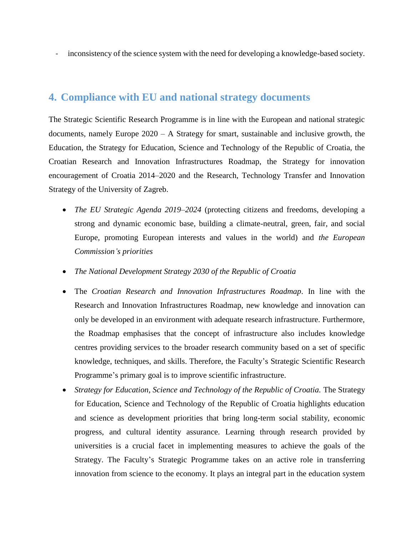- inconsistency of the science system with the need for developing a knowledge-based society.

## **4. Compliance with EU and national strategy documents**

The Strategic Scientific Research Programme is in line with the European and national strategic documents, namely Europe 2020 – A Strategy for smart, sustainable and inclusive growth, the Education, the Strategy for Education, Science and Technology of the Republic of Croatia, the Croatian Research and Innovation Infrastructures Roadmap, the Strategy for innovation encouragement of Croatia 2014–2020 and the Research, Technology Transfer and Innovation Strategy of the University of Zagreb.

- *The EU Strategic Agenda 2019–2024* (protecting citizens and freedoms, developing a strong and dynamic economic base, building a climate-neutral, green, fair, and social Europe, promoting European interests and values in the world) and *the European Commission's priorities*
- *The National Development Strategy 2030 of the Republic of Croatia*
- The *Croatian Research and Innovation Infrastructures Roadmap*. In line with the Research and Innovation Infrastructures Roadmap, new knowledge and innovation can only be developed in an environment with adequate research infrastructure. Furthermore, the Roadmap emphasises that the concept of infrastructure also includes knowledge centres providing services to the broader research community based on a set of specific knowledge, techniques, and skills. Therefore, the Faculty's Strategic Scientific Research Programme's primary goal is to improve scientific infrastructure.
- *Strategy for Education, Science and Technology of the Republic of Croatia.* The Strategy for Education, Science and Technology of the Republic of Croatia highlights education and science as development priorities that bring long-term social stability, economic progress, and cultural identity assurance. Learning through research provided by universities is a crucial facet in implementing measures to achieve the goals of the Strategy. The Faculty's Strategic Programme takes on an active role in transferring innovation from science to the economy. It plays an integral part in the education system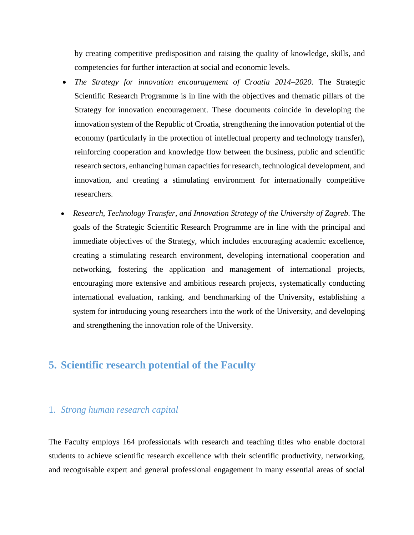by creating competitive predisposition and raising the quality of knowledge, skills, and competencies for further interaction at social and economic levels.

- *The Strategy for innovation encouragement of Croatia 2014–2020.* The Strategic Scientific Research Programme is in line with the objectives and thematic pillars of the Strategy for innovation encouragement. These documents coincide in developing the innovation system of the Republic of Croatia, strengthening the innovation potential of the economy (particularly in the protection of intellectual property and technology transfer), reinforcing cooperation and knowledge flow between the business, public and scientific research sectors, enhancing human capacities for research, technological development, and innovation, and creating a stimulating environment for internationally competitive researchers.
- *Research, Technology Transfer, and Innovation Strategy of the University of Zagreb.* The goals of the Strategic Scientific Research Programme are in line with the principal and immediate objectives of the Strategy, which includes encouraging academic excellence, creating a stimulating research environment, developing international cooperation and networking, fostering the application and management of international projects, encouraging more extensive and ambitious research projects, systematically conducting international evaluation, ranking, and benchmarking of the University, establishing a system for introducing young researchers into the work of the University, and developing and strengthening the innovation role of the University.

# **5. Scientific research potential of the Faculty**

#### 1. *Strong human research capital*

The Faculty employs 164 professionals with research and teaching titles who enable doctoral students to achieve scientific research excellence with their scientific productivity, networking, and recognisable expert and general professional engagement in many essential areas of social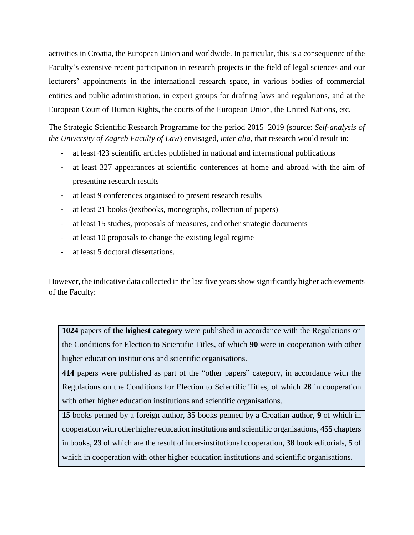activities in Croatia, the European Union and worldwide. In particular, this is a consequence of the Faculty's extensive recent participation in research projects in the field of legal sciences and our lecturers' appointments in the international research space, in various bodies of commercial entities and public administration, in expert groups for drafting laws and regulations, and at the European Court of Human Rights, the courts of the European Union, the United Nations, etc.

The Strategic Scientific Research Programme for the period 2015–2019 (source: *Self-analysis of the University of Zagreb Faculty of Law*) envisaged, *inter alia*, that research would result in:

- at least 423 scientific articles published in national and international publications
- at least 327 appearances at scientific conferences at home and abroad with the aim of presenting research results
- at least 9 conferences organised to present research results
- at least 21 books (textbooks, monographs, collection of papers)
- at least 15 studies, proposals of measures, and other strategic documents
- at least 10 proposals to change the existing legal regime
- at least 5 doctoral dissertations.

However, the indicative data collected in the last five years show significantly higher achievements of the Faculty:

**1024** papers of **the highest category** were published in accordance with the Regulations on the Conditions for Election to Scientific Titles, of which **90** were in cooperation with other higher education institutions and scientific organisations.

**414** papers were published as part of the "other papers" category, in accordance with the Regulations on the Conditions for Election to Scientific Titles, of which **26** in cooperation with other higher education institutions and scientific organisations.

**15** books penned by a foreign author, **35** books penned by a Croatian author, **9** of which in cooperation with other higher education institutions and scientific organisations, **455** chapters in books, **23** of which are the result of inter-institutional cooperation, **38** book editorials, **5** of which in cooperation with other higher education institutions and scientific organisations.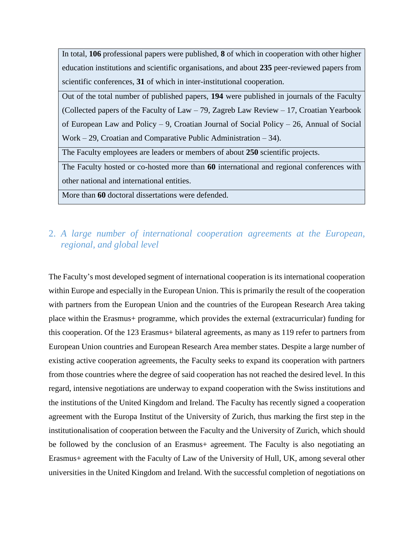In total, **106** professional papers were published, **8** of which in cooperation with other higher education institutions and scientific organisations, and about **235** peer-reviewed papers from scientific conferences, **31** of which in inter-institutional cooperation.

Out of the total number of published papers, **194** were published in journals of the Faculty (Collected papers of the Faculty of Law – 79, Zagreb Law Review – 17, Croatian Yearbook of European Law and Policy – 9, Croatian Journal of Social Policy – 26, Annual of Social Work – 29, Croatian and Comparative Public Administration – 34).

The Faculty employees are leaders or members of about **250** scientific projects.

The Faculty hosted or co-hosted more than **60** international and regional conferences with other national and international entities.

More than **60** doctoral dissertations were defended.

## 2. *A large number of international cooperation agreements at the European, regional, and global level*

The Faculty's most developed segment of international cooperation is its international cooperation within Europe and especially in the European Union. This is primarily the result of the cooperation with partners from the European Union and the countries of the European Research Area taking place within the Erasmus+ programme, which provides the external (extracurricular) funding for this cooperation. Of the 123 Erasmus+ bilateral agreements, as many as 119 refer to partners from European Union countries and European Research Area member states. Despite a large number of existing active cooperation agreements, the Faculty seeks to expand its cooperation with partners from those countries where the degree of said cooperation has not reached the desired level. In this regard, intensive negotiations are underway to expand cooperation with the Swiss institutions and the institutions of the United Kingdom and Ireland. The Faculty has recently signed a cooperation agreement with the Europa Institut of the University of Zurich, thus marking the first step in the institutionalisation of cooperation between the Faculty and the University of Zurich, which should be followed by the conclusion of an Erasmus+ agreement. The Faculty is also negotiating an Erasmus+ agreement with the Faculty of Law of the University of Hull, UK, among several other universities in the United Kingdom and Ireland. With the successful completion of negotiations on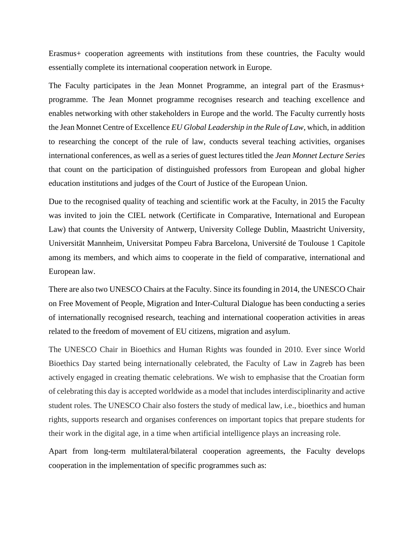Erasmus+ cooperation agreements with institutions from these countries, the Faculty would essentially complete its international cooperation network in Europe.

The Faculty participates in the Jean Monnet Programme, an integral part of the Erasmus+ programme. The Jean Monnet programme recognises research and teaching excellence and enables networking with other stakeholders in Europe and the world. The Faculty currently hosts the Jean Monnet Centre of Excellence *EU Global Leadership in the Rule of Law*, which, in addition to researching the concept of the rule of law, conducts several teaching activities, organises international conferences, as well as a series of guest lectures titled the *Jean Monnet Lecture Series* that count on the participation of distinguished professors from European and global higher education institutions and judges of the Court of Justice of the European Union.

Due to the recognised quality of teaching and scientific work at the Faculty, in 2015 the Faculty was invited to join the CIEL network (Certificate in Comparative, International and European Law) that counts the University of Antwerp, University College Dublin, Maastricht University, Universität Mannheim, Universitat Pompeu Fabra Barcelona, Université de Toulouse 1 Capitole among its members, and which aims to cooperate in the field of comparative, international and European law.

There are also two UNESCO Chairs at the Faculty. Since its founding in 2014, the UNESCO Chair on Free Movement of People, Migration and Inter-Cultural Dialogue has been conducting a series of internationally recognised research, teaching and international cooperation activities in areas related to the freedom of movement of EU citizens, migration and asylum.

The UNESCO Chair in Bioethics and Human Rights was founded in 2010. Ever since World Bioethics Day started being internationally celebrated, the Faculty of Law in Zagreb has been actively engaged in creating thematic celebrations. We wish to emphasise that the Croatian form of celebrating this day is accepted worldwide as a model that includes interdisciplinarity and active student roles. The UNESCO Chair also fosters the study of medical law, i.e., bioethics and human rights, supports research and organises conferences on important topics that prepare students for their work in the digital age, in a time when artificial intelligence plays an increasing role.

Apart from long-term multilateral/bilateral cooperation agreements, the Faculty develops cooperation in the implementation of specific programmes such as: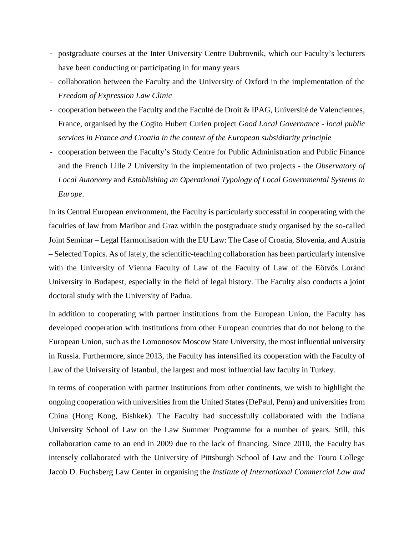- postgraduate courses at the Inter University Centre Dubrovnik, which our Faculty's lecturers have been conducting or participating in for many years
- collaboration between the Faculty and the University of Oxford in the implementation of the *Freedom of Expression Law Clinic*
- cooperation between the Faculty and the Faculté de Droit & IPAG, Université de Valenciennes, France, organised by the Cogito Hubert Curien project *Good Local Governance - local public services in France and Croatia in the context of the European subsidiarity principle*
- cooperation between the Faculty's Study Centre for Public Administration and Public Finance and the French Lille 2 University in the implementation of two projects - the *Observatory of Local Autonomy* and *Establishing an Operational Typology of Local Governmental Systems in Europe*.

In its Central European environment, the Faculty is particularly successful in cooperating with the faculties of law from Maribor and Graz within the postgraduate study organised by the so-called Joint Seminar – Legal Harmonisation with the EU Law: The Case of Croatia, Slovenia, and Austria – Selected Topics. As of lately, the scientific-teaching collaboration has been particularly intensive with the University of Vienna Faculty of Law of the Faculty of Law of the Eötvös Loránd University in Budapest, especially in the field of legal history. The Faculty also conducts a joint doctoral study with the University of Padua.

In addition to cooperating with partner institutions from the European Union, the Faculty has developed cooperation with institutions from other European countries that do not belong to the European Union, such as the Lomonosov Moscow State University, the most influential university in Russia. Furthermore, since 2013, the Faculty has intensified its cooperation with the Faculty of Law of the University of Istanbul, the largest and most influential law faculty in Turkey.

In terms of cooperation with partner institutions from other continents, we wish to highlight the ongoing cooperation with universities from the United States (DePaul, Penn) and universities from China (Hong Kong, Bishkek). The Faculty had successfully collaborated with the Indiana University School of Law on the Law Summer Programme for a number of years. Still, this collaboration came to an end in 2009 due to the lack of financing. Since 2010, the Faculty has intensely collaborated with the University of Pittsburgh School of Law and the Touro College Jacob D. Fuchsberg Law Center in organising the *Institute of International Commercial Law and*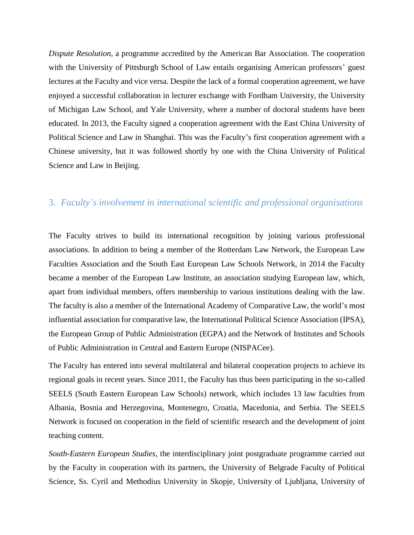*Dispute Resolution*, a programme accredited by the American Bar Association. The cooperation with the University of Pittsburgh School of Law entails organising American professors' guest lectures at the Faculty and vice versa. Despite the lack of a formal cooperation agreement, we have enjoyed a successful collaboration in lecturer exchange with Fordham University, the University of Michigan Law School, and Yale University, where a number of doctoral students have been educated. In 2013, the Faculty signed a cooperation agreement with the East China University of Political Science and Law in Shanghai. This was the Faculty's first cooperation agreement with a Chinese university, but it was followed shortly by one with the China University of Political Science and Law in Beijing.

#### 3. *Faculty's involvement in international scientific and professional organisations*

The Faculty strives to build its international recognition by joining various professional associations. In addition to being a member of the Rotterdam Law Network, the European Law Faculties Association and the South East European Law Schools Network, in 2014 the Faculty became a member of the European Law Institute, an association studying European law, which, apart from individual members, offers membership to various institutions dealing with the law. The faculty is also a member of the International Academy of Comparative Law, the world's most influential association for comparative law, the International Political Science Association (IPSA), the European Group of Public Administration (EGPA) and the Network of Institutes and Schools of Public Administration in Central and Eastern Europe (NISPACee).

The Faculty has entered into several multilateral and bilateral cooperation projects to achieve its regional goals in recent years. Since 2011, the Faculty has thus been participating in the so-called SEELS (South Eastern European Law Schools) network, which includes 13 law faculties from Albania, Bosnia and Herzegovina, Montenegro, Croatia, Macedonia, and Serbia. The SEELS Network is focused on cooperation in the field of scientific research and the development of joint teaching content.

*South-Eastern European Studies*, the interdisciplinary joint postgraduate programme carried out by the Faculty in cooperation with its partners, the University of Belgrade Faculty of Political Science, Ss. Cyril and Methodius University in Skopje, University of Ljubljana, University of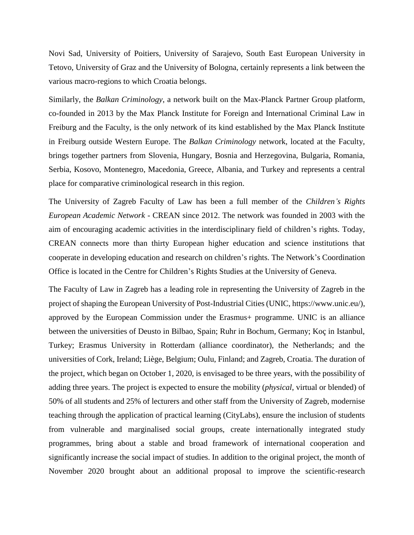Novi Sad, University of Poitiers, University of Sarajevo, South East European University in Tetovo, University of Graz and the University of Bologna, certainly represents a link between the various macro-regions to which Croatia belongs.

Similarly, the *Balkan Criminology*, a network built on the Max-Planck Partner Group platform, co-founded in 2013 by the Max Planck Institute for Foreign and International Criminal Law in Freiburg and the Faculty, is the only network of its kind established by the Max Planck Institute in Freiburg outside Western Europe. The *Balkan Criminology* network, located at the Faculty, brings together partners from Slovenia, Hungary, Bosnia and Herzegovina, Bulgaria, Romania, Serbia, Kosovo, Montenegro, Macedonia, Greece, Albania, and Turkey and represents a central place for comparative criminological research in this region.

The University of Zagreb Faculty of Law has been a full member of the *Children's Rights European Academic Network* - CREAN since 2012. The network was founded in 2003 with the aim of encouraging academic activities in the interdisciplinary field of children's rights. Today, CREAN connects more than thirty European higher education and science institutions that cooperate in developing education and research on children's rights. The Network's Coordination Office is located in the Centre for Children's Rights Studies at the University of Geneva.

The Faculty of Law in Zagreb has a leading role in representing the University of Zagreb in the project of shaping the European University of Post-Industrial Cities (UNIC, [https://www.unic.eu/\)](https://www.unic.eu/), approved by the European Commission under the Erasmus+ programme. UNIC is an alliance between the universities of Deusto in Bilbao, Spain; Ruhr in Bochum, Germany; Koç in Istanbul, Turkey; Erasmus University in Rotterdam (alliance coordinator), the Netherlands; and the universities of Cork, Ireland; Liège, Belgium; Oulu, Finland; and Zagreb, Croatia. The duration of the project, which began on October 1, 2020, is envisaged to be three years, with the possibility of adding three years. The project is expected to ensure the mobility (*physical*, virtual or blended) of 50% of all students and 25% of lecturers and other staff from the University of Zagreb, modernise teaching through the application of practical learning (CityLabs), ensure the inclusion of students from vulnerable and marginalised social groups, create internationally integrated study programmes, bring about a stable and broad framework of international cooperation and significantly increase the social impact of studies. In addition to the original project, the month of November 2020 brought about an additional proposal to improve the scientific-research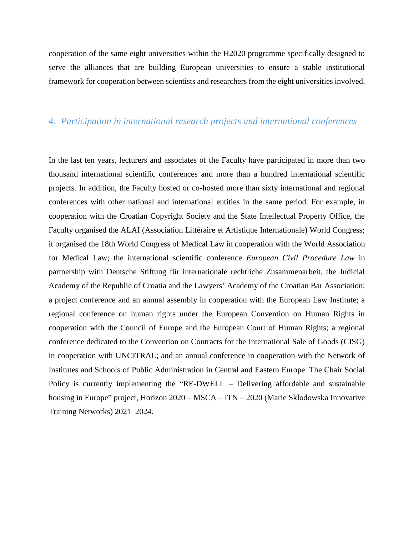cooperation of the same eight universities within the H2020 programme specifically designed to serve the alliances that are building European universities to ensure a stable institutional framework for cooperation between scientists and researchers from the eight universities involved.

#### 4. *Participation in international research projects and international conferences*

In the last ten years, lecturers and associates of the Faculty have participated in more than two thousand international scientific conferences and more than a hundred international scientific projects. In addition, the Faculty hosted or co-hosted more than sixty international and regional conferences with other national and international entities in the same period. For example, in cooperation with the Croatian Copyright Society and the State Intellectual Property Office, the Faculty organised the ALAI (Association Littéraire et Artistique Internationale) World Congress; it organised the 18th World Congress of Medical Law in cooperation with the World Association for Medical Law; the international scientific conference *European Civil Procedure Law* in partnership with Deutsche Stiftung für internationale rechtliche Zusammenarbeit, the Judicial Academy of the Republic of Croatia and the Lawyers' Academy of the Croatian Bar Association; a project conference and an annual assembly in cooperation with the European Law Institute; a regional conference on human rights under the European Convention on Human Rights in cooperation with the Council of Europe and the European Court of Human Rights; a regional conference dedicated to the Convention on Contracts for the International Sale of Goods (CISG) in cooperation with UNCITRAL; and an annual conference in cooperation with the Network of Institutes and Schools of Public Administration in Central and Eastern Europe. The Chair Social Policy is currently implementing the "RE-DWELL – Delivering affordable and sustainable housing in Europe" project, Horizon 2020 – MSCA – ITN – 2020 (Marie Sklodowska Innovative Training Networks) 2021–2024.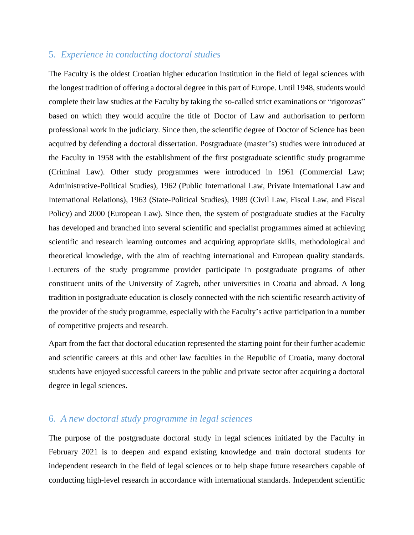#### 5. *Experience in conducting doctoral studies*

The Faculty is the oldest Croatian higher education institution in the field of legal sciences with the longest tradition of offering a doctoral degree in this part of Europe. Until 1948, students would complete their law studies at the Faculty by taking the so-called strict examinations or "rigorozas" based on which they would acquire the title of Doctor of Law and authorisation to perform professional work in the judiciary. Since then, the scientific degree of Doctor of Science has been acquired by defending a doctoral dissertation. Postgraduate (master's) studies were introduced at the Faculty in 1958 with the establishment of the first postgraduate scientific study programme (Criminal Law). Other study programmes were introduced in 1961 (Commercial Law; Administrative-Political Studies), 1962 (Public International Law, Private International Law and International Relations), 1963 (State-Political Studies), 1989 (Civil Law, Fiscal Law, and Fiscal Policy) and 2000 (European Law). Since then, the system of postgraduate studies at the Faculty has developed and branched into several scientific and specialist programmes aimed at achieving scientific and research learning outcomes and acquiring appropriate skills, methodological and theoretical knowledge, with the aim of reaching international and European quality standards. Lecturers of the study programme provider participate in postgraduate programs of other constituent units of the University of Zagreb, other universities in Croatia and abroad. A long tradition in postgraduate education is closely connected with the rich scientific research activity of the provider of the study programme, especially with the Faculty's active participation in a number of competitive projects and research.

Apart from the fact that doctoral education represented the starting point for their further academic and scientific careers at this and other law faculties in the Republic of Croatia, many doctoral students have enjoyed successful careers in the public and private sector after acquiring a doctoral degree in legal sciences.

### 6. *A new doctoral study programme in legal sciences*

The purpose of the postgraduate doctoral study in legal sciences initiated by the Faculty in February 2021 is to deepen and expand existing knowledge and train doctoral students for independent research in the field of legal sciences or to help shape future researchers capable of conducting high-level research in accordance with international standards. Independent scientific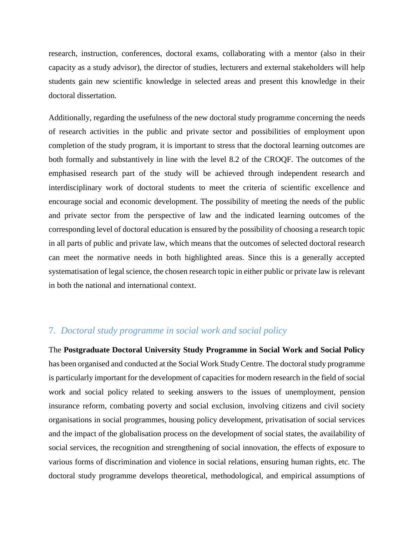research, instruction, conferences, doctoral exams, collaborating with a mentor (also in their capacity as a study advisor), the director of studies, lecturers and external stakeholders will help students gain new scientific knowledge in selected areas and present this knowledge in their doctoral dissertation.

Additionally, regarding the usefulness of the new doctoral study programme concerning the needs of research activities in the public and private sector and possibilities of employment upon completion of the study program, it is important to stress that the doctoral learning outcomes are both formally and substantively in line with the level 8.2 of the CROQF. The outcomes of the emphasised research part of the study will be achieved through independent research and interdisciplinary work of doctoral students to meet the criteria of scientific excellence and encourage social and economic development. The possibility of meeting the needs of the public and private sector from the perspective of law and the indicated learning outcomes of the corresponding level of doctoral education is ensured by the possibility of choosing a research topic in all parts of public and private law, which means that the outcomes of selected doctoral research can meet the normative needs in both highlighted areas. Since this is a generally accepted systematisation of legal science, the chosen research topic in either public or private law is relevant in both the national and international context.

### 7. *Doctoral study programme in social work and social policy*

The **Postgraduate Doctoral University Study Programme in Social Work and Social Policy** has been organised and conducted at the Social Work Study Centre. The doctoral study programme is particularly important for the development of capacities for modern research in the field of social work and social policy related to seeking answers to the issues of unemployment, pension insurance reform, combating poverty and social exclusion, involving citizens and civil society organisations in social programmes, housing policy development, privatisation of social services and the impact of the globalisation process on the development of social states, the availability of social services, the recognition and strengthening of social innovation, the effects of exposure to various forms of discrimination and violence in social relations, ensuring human rights, etc. The doctoral study programme develops theoretical, methodological, and empirical assumptions of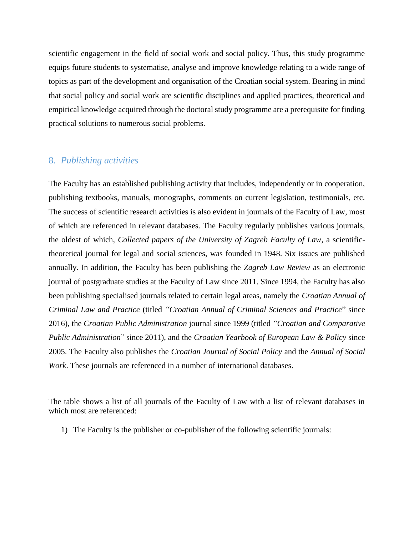scientific engagement in the field of social work and social policy. Thus, this study programme equips future students to systematise, analyse and improve knowledge relating to a wide range of topics as part of the development and organisation of the Croatian social system. Bearing in mind that social policy and social work are scientific disciplines and applied practices, theoretical and empirical knowledge acquired through the doctoral study programme are a prerequisite for finding practical solutions to numerous social problems.

#### 8. *Publishing activities*

The Faculty has an established publishing activity that includes, independently or in cooperation, publishing textbooks, manuals, monographs, comments on current legislation, testimonials, etc. The success of scientific research activities is also evident in journals of the Faculty of Law, most of which are referenced in relevant databases. The Faculty regularly publishes various journals, the oldest of which, *Collected papers of the University of Zagreb Faculty of Law*, a scientifictheoretical journal for legal and social sciences, was founded in 1948. Six issues are published annually. In addition, the Faculty has been publishing the *Zagreb Law Review* as an electronic journal of postgraduate studies at the Faculty of Law since 2011. Since 1994, the Faculty has also been publishing specialised journals related to certain legal areas, namely the *Croatian Annual of Criminal Law and Practice* (titled *"Croatian Annual of Criminal Sciences and Practice*" since 2016), the *Croatian Public Administration* journal since 1999 (titled *"Croatian and Comparative Public Administration*" since 2011), and the *Croatian Yearbook of European Law & Policy* since 2005. The Faculty also publishes the *Croatian Journal of Social Policy* and the *Annual of Social Work*. These journals are referenced in a number of international databases.

The table shows a list of all journals of the Faculty of Law with a list of relevant databases in which most are referenced:

1) The Faculty is the publisher or co-publisher of the following scientific journals: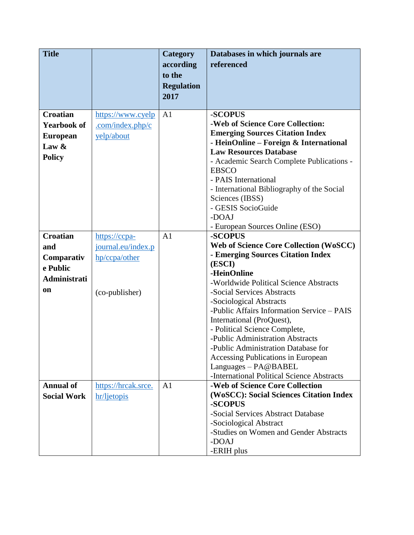| <b>Title</b>       |                     | Category          | Databases in which journals are                                         |
|--------------------|---------------------|-------------------|-------------------------------------------------------------------------|
|                    |                     | according         | referenced                                                              |
|                    |                     | to the            |                                                                         |
|                    |                     | <b>Regulation</b> |                                                                         |
|                    |                     | 2017              |                                                                         |
| <b>Croatian</b>    | https://www.cyelp   | A <sub>1</sub>    | -SCOPUS                                                                 |
| <b>Yearbook of</b> | .com/index.php/c    |                   | -Web of Science Core Collection:                                        |
| <b>European</b>    | yelp/about          |                   | <b>Emerging Sources Citation Index</b>                                  |
| Law $\&$           |                     |                   | - HeinOnline – Foreign & International                                  |
|                    |                     |                   | <b>Law Resources Database</b>                                           |
| <b>Policy</b>      |                     |                   | - Academic Search Complete Publications -                               |
|                    |                     |                   | <b>EBSCO</b>                                                            |
|                    |                     |                   | - PAIS International                                                    |
|                    |                     |                   | - International Bibliography of the Social<br>Sciences (IBSS)           |
|                    |                     |                   | - GESIS SocioGuide                                                      |
|                    |                     |                   | -DOAJ                                                                   |
|                    |                     |                   | - European Sources Online (ESO)                                         |
| <b>Croatian</b>    | https://ccpa-       | A <sub>1</sub>    | -SCOPUS                                                                 |
| and                | journal.eu/index.p  |                   | <b>Web of Science Core Collection (WoSCC)</b>                           |
| Comparativ         | hp/ccpa/other       |                   | - Emerging Sources Citation Index                                       |
| e Public           |                     |                   | (ESCI)<br>-HeinOnline                                                   |
| Administrati       |                     |                   | -Worldwide Political Science Abstracts                                  |
| <b>on</b>          | (co-publisher)      |                   | -Social Services Abstracts                                              |
|                    |                     |                   | -Sociological Abstracts                                                 |
|                    |                     |                   | -Public Affairs Information Service - PAIS                              |
|                    |                     |                   | International (ProQuest),                                               |
|                    |                     |                   | - Political Science Complete,                                           |
|                    |                     |                   | -Public Administration Abstracts<br>-Public Administration Database for |
|                    |                     |                   | Accessing Publications in European                                      |
|                    |                     |                   | Languages - PA@BABEL                                                    |
|                    |                     |                   | -International Political Science Abstracts                              |
| <b>Annual of</b>   | https://hrcak.srce. | A <sub>1</sub>    | -Web of Science Core Collection                                         |
| <b>Social Work</b> | hr/ljetopis         |                   | (WoSCC): Social Sciences Citation Index                                 |
|                    |                     |                   | -SCOPUS                                                                 |
|                    |                     |                   | -Social Services Abstract Database                                      |
|                    |                     |                   | -Sociological Abstract<br>-Studies on Women and Gender Abstracts        |
|                    |                     |                   | -DOAJ                                                                   |
|                    |                     |                   | -ERIH plus                                                              |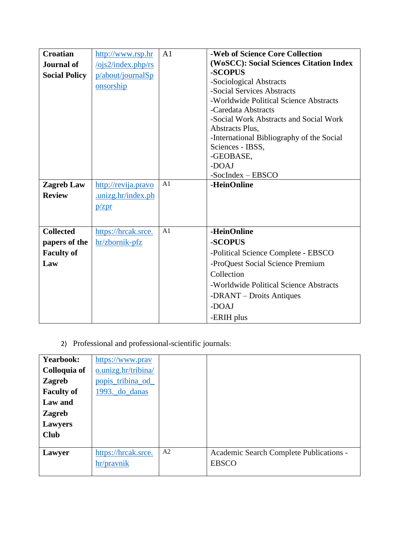| <b>Croatian</b>      | http://www.rsp.hr                       | A <sub>1</sub> | -Web of Science Core Collection           |
|----------------------|-----------------------------------------|----------------|-------------------------------------------|
| <b>Journal of</b>    | $\frac{\log 2}{\ln \text{dex}}$ .php/rs |                | (WoSCC): Social Sciences Citation Index   |
| <b>Social Policy</b> | p/about/journalSp                       |                | -SCOPUS                                   |
|                      | onsorship                               |                | -Sociological Abstracts                   |
|                      |                                         |                | -Social Services Abstracts                |
|                      |                                         |                | -Worldwide Political Science Abstracts    |
|                      |                                         |                | -Caredata Abstracts                       |
|                      |                                         |                | -Social Work Abstracts and Social Work    |
|                      |                                         |                | Abstracts Plus,                           |
|                      |                                         |                | -International Bibliography of the Social |
|                      |                                         |                | Sciences - IBSS,                          |
|                      |                                         |                | -GEOBASE,                                 |
|                      |                                         |                | -DOAJ                                     |
|                      |                                         |                | $-SocIndex - EBSCO$                       |
| <b>Zagreb Law</b>    | http://revija.pravo                     | A1             | -HeinOnline                               |
| <b>Review</b>        | .unizg.hr/index.ph                      |                |                                           |
|                      | p/zpr                                   |                |                                           |
|                      |                                         |                |                                           |
|                      |                                         | A1             |                                           |
| <b>Collected</b>     | https://hrcak.srce.                     |                | -HeinOnline                               |
| papers of the        | hr/zbornik-pfz                          |                | -SCOPUS                                   |
| <b>Faculty of</b>    |                                         |                | -Political Science Complete - EBSCO       |
| Law                  |                                         |                | -ProQuest Social Science Premium          |
|                      |                                         |                | Collection                                |
|                      |                                         |                | -Worldwide Political Science Abstracts    |
|                      |                                         |                | -DRANT – Droits Antiques                  |
|                      |                                         |                | -DOAJ                                     |
|                      |                                         |                | -ERIH plus                                |

2) Professional and professional-scientific journals:

| <b>Yearbook:</b>  | https://www.pray    |    |                                         |
|-------------------|---------------------|----|-----------------------------------------|
| Colloquia of      | o.unizg.hr/tribina/ |    |                                         |
| <b>Zagreb</b>     | popis_tribina_od_   |    |                                         |
| <b>Faculty of</b> | 1993. do danas      |    |                                         |
| Law and           |                     |    |                                         |
| <b>Zagreb</b>     |                     |    |                                         |
| Lawyers           |                     |    |                                         |
| <b>Club</b>       |                     |    |                                         |
|                   |                     |    |                                         |
| Lawyer            | https://hrcak.srce. | A2 | Academic Search Complete Publications - |
|                   | hr/pravnik          |    | <b>EBSCO</b>                            |
|                   |                     |    |                                         |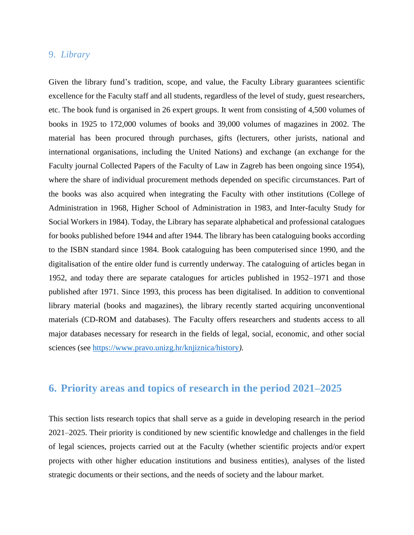#### 9. *Library*

Given the library fund's tradition, scope, and value, the Faculty Library guarantees scientific excellence for the Faculty staff and all students, regardless of the level of study, guest researchers, etc. The book fund is organised in 26 expert groups. It went from consisting of 4,500 volumes of books in 1925 to 172,000 volumes of books and 39,000 volumes of magazines in 2002. The material has been procured through purchases, gifts (lecturers, other jurists, national and international organisations, including the United Nations) and exchange (an exchange for the Faculty journal Collected Papers of the Faculty of Law in Zagreb has been ongoing since 1954), where the share of individual procurement methods depended on specific circumstances. Part of the books was also acquired when integrating the Faculty with other institutions (College of Administration in 1968, Higher School of Administration in 1983, and Inter-faculty Study for Social Workers in 1984). Today, the Library has separate alphabetical and professional catalogues for books published before 1944 and after 1944. The library has been cataloguing books according to the ISBN standard since 1984. Book cataloguing has been computerised since 1990, and the digitalisation of the entire older fund is currently underway. The cataloguing of articles began in 1952, and today there are separate catalogues for articles published in 1952–1971 and those published after 1971. Since 1993, this process has been digitalised. In addition to conventional library material (books and magazines), the library recently started acquiring unconventional materials (CD-ROM and databases). The Faculty offers researchers and students access to all major databases necessary for research in the fields of legal, social, economic, and other social sciences (see [https://www.pravo.unizg.hr/knjiznica/history](https://www.pravo.unizg.hr/knjiznica/povijest)*[\).](http://www.pravo.unizg.hr/biblioteka/povijest/kratka)*

# **6. Priority areas and topics of research in the period 2021–2025**

This section lists research topics that shall serve as a guide in developing research in the period 2021–2025. Their priority is conditioned by new scientific knowledge and challenges in the field of legal sciences, projects carried out at the Faculty (whether scientific projects and/or expert projects with other higher education institutions and business entities), analyses of the listed strategic documents or their sections, and the needs of society and the labour market.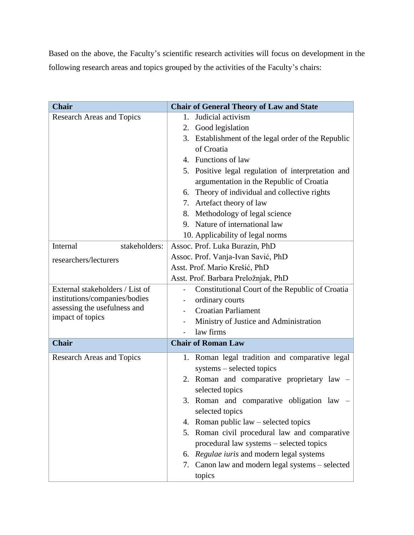Based on the above, the Faculty's scientific research activities will focus on development in the following research areas and topics grouped by the activities of the Faculty's chairs:

| <b>Chair</b>                     | <b>Chair of General Theory of Law and State</b>        |
|----------------------------------|--------------------------------------------------------|
| <b>Research Areas and Topics</b> | Judicial activism<br>$1_{-}$                           |
|                                  | 2. Good legislation                                    |
|                                  | Establishment of the legal order of the Republic<br>3. |
|                                  | of Croatia                                             |
|                                  | 4. Functions of law                                    |
|                                  | 5. Positive legal regulation of interpretation and     |
|                                  | argumentation in the Republic of Croatia               |
|                                  | 6. Theory of individual and collective rights          |
|                                  | 7. Artefact theory of law                              |
|                                  | 8. Methodology of legal science                        |
|                                  | 9. Nature of international law                         |
|                                  | 10. Applicability of legal norms                       |
| Internal<br>stakeholders:        | Assoc. Prof. Luka Burazin, PhD                         |
| researchers/lecturers            | Assoc. Prof. Vanja-Ivan Savić, PhD                     |
|                                  | Asst. Prof. Mario Krešić, PhD                          |
|                                  | Asst. Prof. Barbara Preložnjak, PhD                    |
| External stakeholders / List of  | Constitutional Court of the Republic of Croatia        |
| institutions/companies/bodies    | ordinary courts                                        |
| assessing the usefulness and     | <b>Croatian Parliament</b>                             |
| impact of topics                 | Ministry of Justice and Administration                 |
|                                  | law firms                                              |
| <b>Chair</b>                     | <b>Chair of Roman Law</b>                              |
| <b>Research Areas and Topics</b> | 1. Roman legal tradition and comparative legal         |
|                                  | systems – selected topics                              |
|                                  | Roman and comparative proprietary law -<br>2.          |
|                                  | selected topics                                        |
|                                  | 3. Roman and comparative obligation law –              |
|                                  | selected topics                                        |
|                                  | Roman public $law$ – selected topics<br>4.             |
|                                  | 5. Roman civil procedural law and comparative          |
|                                  | procedural law systems - selected topics               |
|                                  | 6. Regulae iuris and modern legal systems              |
|                                  | Canon law and modern legal systems - selected<br>7.    |
|                                  | topics                                                 |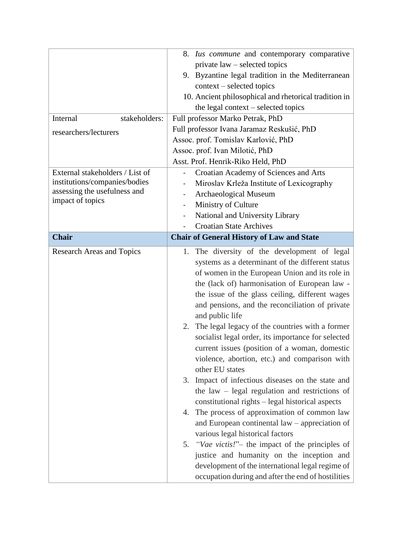|                                  | 8. Ius commune and contemporary comparative                                                            |  |
|----------------------------------|--------------------------------------------------------------------------------------------------------|--|
|                                  | private law – selected topics                                                                          |  |
|                                  | 9. Byzantine legal tradition in the Mediterranean                                                      |  |
|                                  | context – selected topics                                                                              |  |
|                                  | 10. Ancient philosophical and rhetorical tradition in                                                  |  |
|                                  | the legal context – selected topics                                                                    |  |
| Internal<br>stakeholders:        | Full professor Marko Petrak, PhD                                                                       |  |
| researchers/lecturers            | Full professor Ivana Jaramaz Reskušić, PhD                                                             |  |
|                                  | Assoc. prof. Tomislav Karlović, PhD                                                                    |  |
|                                  | Assoc. prof. Ivan Milotić, PhD                                                                         |  |
|                                  | Asst. Prof. Henrik-Riko Held, PhD                                                                      |  |
| External stakeholders / List of  | Croatian Academy of Sciences and Arts                                                                  |  |
| institutions/companies/bodies    | Miroslav Krleža Institute of Lexicography                                                              |  |
| assessing the usefulness and     | Archaeological Museum                                                                                  |  |
| impact of topics                 | Ministry of Culture<br>$\qquad \qquad \blacksquare$                                                    |  |
|                                  | National and University Library                                                                        |  |
|                                  | <b>Croatian State Archives</b>                                                                         |  |
| <b>Chair</b>                     | <b>Chair of General History of Law and State</b>                                                       |  |
| <b>Research Areas and Topics</b> | The diversity of the development of legal<br>1.                                                        |  |
|                                  | systems as a determinant of the different status                                                       |  |
|                                  | of women in the European Union and its role in                                                         |  |
|                                  | the (lack of) harmonisation of European law -                                                          |  |
|                                  | the issue of the glass ceiling, different wages                                                        |  |
|                                  | and pensions, and the reconciliation of private                                                        |  |
|                                  | and public life                                                                                        |  |
|                                  | The legal legacy of the countries with a former<br>2.                                                  |  |
|                                  | socialist legal order, its importance for selected                                                     |  |
|                                  | current issues (position of a woman, domestic                                                          |  |
|                                  | violence, abortion, etc.) and comparison with                                                          |  |
|                                  | other EU states                                                                                        |  |
|                                  | Impact of infectious diseases on the state and<br>3.                                                   |  |
|                                  | the law $-$ legal regulation and restrictions of                                                       |  |
|                                  | constitutional rights – legal historical aspects                                                       |  |
|                                  | 4. The process of approximation of common law                                                          |  |
|                                  | and European continental law – appreciation of                                                         |  |
|                                  | various legal historical factors                                                                       |  |
|                                  | "Vae victis!" – the impact of the principles of<br>5.                                                  |  |
|                                  |                                                                                                        |  |
|                                  | justice and humanity on the inception and                                                              |  |
|                                  | development of the international legal regime of<br>occupation during and after the end of hostilities |  |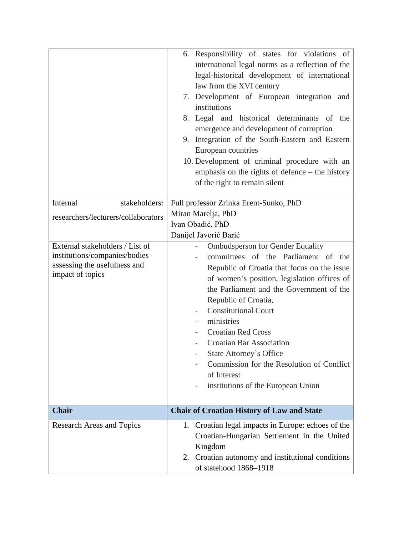|                                                                                                                      | 6. Responsibility of states for violations of<br>international legal norms as a reflection of the<br>legal-historical development of international<br>law from the XVI century<br>7. Development of European integration and<br>institutions<br>8. Legal and historical determinants of the<br>emergence and development of corruption<br>9. Integration of the South-Eastern and Eastern<br>European countries<br>10. Development of criminal procedure with an                                  |
|----------------------------------------------------------------------------------------------------------------------|---------------------------------------------------------------------------------------------------------------------------------------------------------------------------------------------------------------------------------------------------------------------------------------------------------------------------------------------------------------------------------------------------------------------------------------------------------------------------------------------------|
|                                                                                                                      | emphasis on the rights of defence $-$ the history<br>of the right to remain silent                                                                                                                                                                                                                                                                                                                                                                                                                |
| Internal<br>stakeholders:                                                                                            | Full professor Zrinka Erent-Sunko, PhD                                                                                                                                                                                                                                                                                                                                                                                                                                                            |
| researchers/lecturers/collaborators                                                                                  | Miran Marelja, PhD<br>Ivan Obadić, PhD<br>Danijel Javorić Barić                                                                                                                                                                                                                                                                                                                                                                                                                                   |
| External stakeholders / List of<br>institutions/companies/bodies<br>assessing the usefulness and<br>impact of topics | <b>Ombudsperson for Gender Equality</b><br>committees of the Parliament of the<br>Republic of Croatia that focus on the issue<br>of women's position, legislation offices of<br>the Parliament and the Government of the<br>Republic of Croatia,<br><b>Constitutional Court</b><br>ministries<br><b>Croatian Red Cross</b><br><b>Croatian Bar Association</b><br><b>State Attorney's Office</b><br>Commission for the Resolution of Conflict<br>of Interest<br>institutions of the European Union |
| <b>Chair</b>                                                                                                         | <b>Chair of Croatian History of Law and State</b>                                                                                                                                                                                                                                                                                                                                                                                                                                                 |
| <b>Research Areas and Topics</b>                                                                                     | 1. Croatian legal impacts in Europe: echoes of the<br>Croatian-Hungarian Settlement in the United<br>Kingdom<br>2. Croatian autonomy and institutional conditions<br>of statehood 1868-1918                                                                                                                                                                                                                                                                                                       |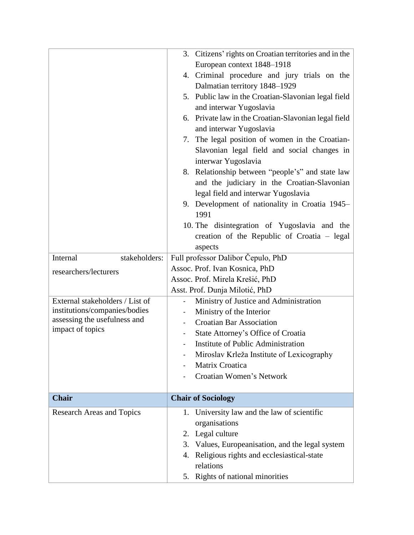|                                  | 3. Citizens' rights on Croatian territories and in the |  |
|----------------------------------|--------------------------------------------------------|--|
|                                  | European context 1848-1918                             |  |
|                                  | 4. Criminal procedure and jury trials on the           |  |
|                                  | Dalmatian territory 1848-1929                          |  |
|                                  | 5. Public law in the Croatian-Slavonian legal field    |  |
|                                  | and interwar Yugoslavia                                |  |
|                                  | 6. Private law in the Croatian-Slavonian legal field   |  |
|                                  | and interwar Yugoslavia                                |  |
|                                  | 7. The legal position of women in the Croatian-        |  |
|                                  | Slavonian legal field and social changes in            |  |
|                                  | interwar Yugoslavia                                    |  |
|                                  | 8. Relationship between "people's" and state law       |  |
|                                  | and the judiciary in the Croatian-Slavonian            |  |
|                                  | legal field and interwar Yugoslavia                    |  |
|                                  |                                                        |  |
|                                  | 9. Development of nationality in Croatia 1945-<br>1991 |  |
|                                  | 10. The disintegration of Yugoslavia and the           |  |
|                                  | creation of the Republic of Croatia – legal            |  |
|                                  | aspects                                                |  |
| Internal<br>stakeholders:        | Full professor Dalibor Čepulo, PhD                     |  |
|                                  | Assoc. Prof. Ivan Kosnica, PhD                         |  |
| researchers/lecturers            |                                                        |  |
|                                  | Assoc. Prof. Mirela Krešić, PhD                        |  |
| External stakeholders / List of  | Asst. Prof. Dunja Milotić, PhD                         |  |
| institutions/companies/bodies    | Ministry of Justice and Administration                 |  |
| assessing the usefulness and     | Ministry of the Interior                               |  |
| impact of topics                 | <b>Croatian Bar Association</b>                        |  |
|                                  | State Attorney's Office of Croatia                     |  |
|                                  | Institute of Public Administration                     |  |
|                                  | Miroslav Krleža Institute of Lexicography              |  |
|                                  | Matrix Croatica                                        |  |
|                                  | Croatian Women's Network                               |  |
| <b>Chair</b>                     | <b>Chair of Sociology</b>                              |  |
|                                  |                                                        |  |
| <b>Research Areas and Topics</b> | 1. University law and the law of scientific            |  |
|                                  | organisations                                          |  |
|                                  | 2. Legal culture                                       |  |
|                                  | 3. Values, Europeanisation, and the legal system       |  |
|                                  | Religious rights and ecclesiastical-state<br>4.        |  |
|                                  | relations                                              |  |
|                                  | 5. Rights of national minorities                       |  |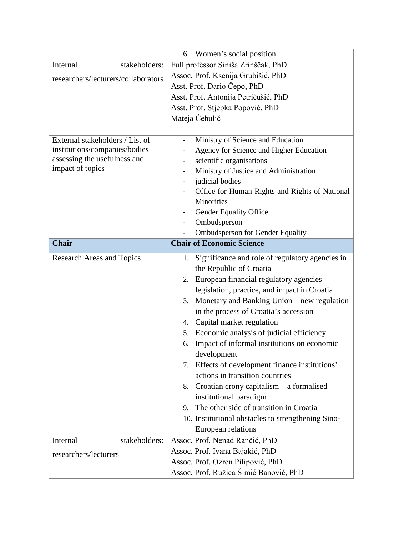|                                     | 6. Women's social position                            |  |  |
|-------------------------------------|-------------------------------------------------------|--|--|
| Internal<br>stakeholders:           | Full professor Siniša Zrinščak, PhD                   |  |  |
| researchers/lecturers/collaborators | Assoc. Prof. Ksenija Grubišić, PhD                    |  |  |
|                                     | Asst. Prof. Dario Čepo, PhD                           |  |  |
|                                     | Asst. Prof. Antonija Petričušić, PhD                  |  |  |
|                                     | Asst. Prof. Stjepka Popović, PhD                      |  |  |
|                                     | Mateja Čehulić                                        |  |  |
|                                     |                                                       |  |  |
| External stakeholders / List of     | Ministry of Science and Education                     |  |  |
| institutions/companies/bodies       | Agency for Science and Higher Education               |  |  |
| assessing the usefulness and        | scientific organisations                              |  |  |
| impact of topics                    | Ministry of Justice and Administration                |  |  |
|                                     | judicial bodies                                       |  |  |
|                                     | Office for Human Rights and Rights of National<br>۰   |  |  |
|                                     | Minorities                                            |  |  |
|                                     | Gender Equality Office<br>-                           |  |  |
|                                     | Ombudsperson                                          |  |  |
|                                     | <b>Ombudsperson for Gender Equality</b>               |  |  |
| <b>Chair</b>                        | <b>Chair of Economic Science</b>                      |  |  |
| <b>Research Areas and Topics</b>    | Significance and role of regulatory agencies in<br>1. |  |  |
|                                     | the Republic of Croatia                               |  |  |
|                                     | European financial regulatory agencies -<br>2.        |  |  |
|                                     | legislation, practice, and impact in Croatia          |  |  |
|                                     | Monetary and Banking Union – new regulation<br>3.     |  |  |
|                                     | in the process of Croatia's accession                 |  |  |
|                                     | Capital market regulation<br>4.                       |  |  |
|                                     | Economic analysis of judicial efficiency<br>5.        |  |  |
|                                     | Impact of informal institutions on economic<br>6.     |  |  |
|                                     | development                                           |  |  |
|                                     | Effects of development finance institutions'<br>7.    |  |  |
|                                     | actions in transition countries                       |  |  |
|                                     | Croatian crony capitalism $-$ a formalised<br>8.      |  |  |
|                                     | institutional paradigm                                |  |  |
|                                     | The other side of transition in Croatia<br>9.         |  |  |
|                                     | 10. Institutional obstacles to strengthening Sino-    |  |  |
|                                     | European relations                                    |  |  |
| Internal<br>stakeholders:           | Assoc. Prof. Nenad Rančić, PhD                        |  |  |
| researchers/lecturers               | Assoc. Prof. Ivana Bajakić, PhD                       |  |  |
|                                     | Assoc. Prof. Ozren Pilipović, PhD                     |  |  |
|                                     | Assoc. Prof. Ružica Šimić Banović, PhD                |  |  |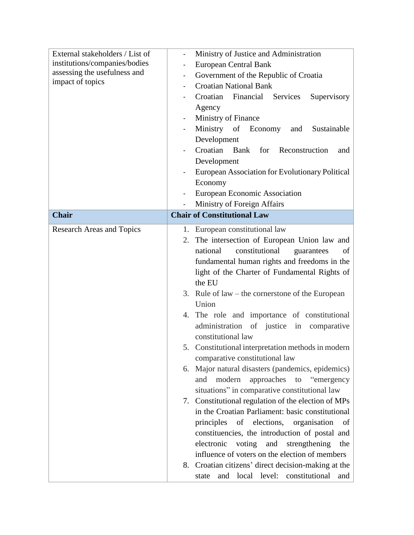| External stakeholders / List of  | Ministry of Justice and Administration                  |
|----------------------------------|---------------------------------------------------------|
| institutions/companies/bodies    | European Central Bank                                   |
| assessing the usefulness and     | Government of the Republic of Croatia                   |
| impact of topics                 | <b>Croatian National Bank</b>                           |
|                                  | Croatian<br>Financial<br>Services<br>Supervisory        |
|                                  | Agency                                                  |
|                                  | Ministry of Finance                                     |
|                                  | Ministry of<br>Economy<br>Sustainable<br>and            |
|                                  | Development                                             |
|                                  | Croatian<br><b>Bank</b><br>for<br>Reconstruction<br>and |
|                                  | Development                                             |
|                                  | European Association for Evolutionary Political         |
|                                  | Economy                                                 |
|                                  | European Economic Association                           |
|                                  | Ministry of Foreign Affairs                             |
| <b>Chair</b>                     | <b>Chair of Constitutional Law</b>                      |
| <b>Research Areas and Topics</b> | 1. European constitutional law                          |
|                                  | The intersection of European Union law and<br>2.        |
|                                  | constitutional<br>national<br>guarantees<br>of          |
|                                  | fundamental human rights and freedoms in the            |
|                                  | light of the Charter of Fundamental Rights of           |
|                                  | the EU                                                  |
|                                  | Rule of $law$ – the cornerstone of the European<br>3.   |
|                                  | Union                                                   |
|                                  | 4. The role and importance of constitutional            |
|                                  | administration<br>of justice<br>comparative<br>in       |
|                                  | constitutional law                                      |
|                                  | 5. Constitutional interpretation methods in modern      |
|                                  | comparative constitutional law                          |
|                                  | Major natural disasters (pandemics, epidemics)<br>6.    |
|                                  | approaches to "emergency"<br>modern<br>and              |
|                                  | situations" in comparative constitutional law           |
|                                  | 7. Constitutional regulation of the election of MPs     |
|                                  | in the Croatian Parliament: basic constitutional        |
|                                  | of elections,<br>principles<br>organisation<br>of       |
|                                  | constituencies, the introduction of postal and          |
|                                  | electronic<br>voting and strengthening<br>the           |
|                                  | influence of voters on the election of members          |
|                                  |                                                         |
|                                  | 8. Croatian citizens' direct decision-making at the     |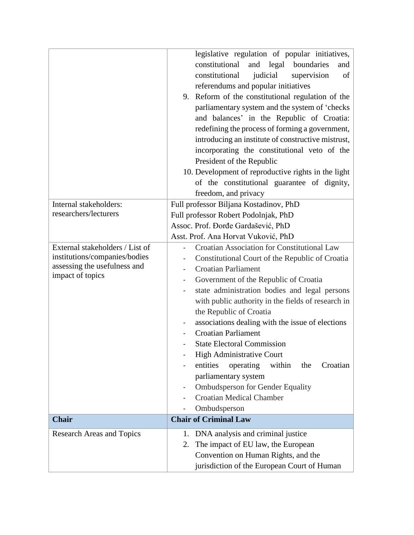|                                                                                                                      | legislative regulation of popular initiatives,<br>constitutional<br>and<br>legal<br>boundaries<br>and<br>constitutional<br>judicial<br>supervision<br>of<br>referendums and popular initiatives<br>9. Reform of the constitutional regulation of the<br>parliamentary system and the system of 'checks<br>and balances' in the Republic of Croatia:<br>redefining the process of forming a government,                                                                                                                                                                                                                                         |
|----------------------------------------------------------------------------------------------------------------------|------------------------------------------------------------------------------------------------------------------------------------------------------------------------------------------------------------------------------------------------------------------------------------------------------------------------------------------------------------------------------------------------------------------------------------------------------------------------------------------------------------------------------------------------------------------------------------------------------------------------------------------------|
|                                                                                                                      | introducing an institute of constructive mistrust,<br>incorporating the constitutional veto of the<br>President of the Republic<br>10. Development of reproductive rights in the light<br>of the constitutional guarantee of dignity,                                                                                                                                                                                                                                                                                                                                                                                                          |
|                                                                                                                      | freedom, and privacy                                                                                                                                                                                                                                                                                                                                                                                                                                                                                                                                                                                                                           |
| Internal stakeholders:<br>researchers/lecturers                                                                      | Full professor Biljana Kostadinov, PhD<br>Full professor Robert Podolnjak, PhD<br>Assoc. Prof. Đorđe Gardašević, PhD<br>Asst. Prof. Ana Horvat Vuković, PhD                                                                                                                                                                                                                                                                                                                                                                                                                                                                                    |
| External stakeholders / List of<br>institutions/companies/bodies<br>assessing the usefulness and<br>impact of topics | Croatian Association for Constitutional Law<br>Constitutional Court of the Republic of Croatia<br><b>Croatian Parliament</b><br>Government of the Republic of Croatia<br>state administration bodies and legal persons<br>with public authority in the fields of research in<br>the Republic of Croatia<br>associations dealing with the issue of elections<br><b>Croatian Parliament</b><br><b>State Electoral Commission</b><br><b>High Administrative Court</b><br>entities<br>operating<br>within<br>Croatian<br>the<br>parliamentary system<br><b>Ombudsperson for Gender Equality</b><br><b>Croatian Medical Chamber</b><br>Ombudsperson |
| <b>Chair</b>                                                                                                         | <b>Chair of Criminal Law</b>                                                                                                                                                                                                                                                                                                                                                                                                                                                                                                                                                                                                                   |
| <b>Research Areas and Topics</b>                                                                                     | DNA analysis and criminal justice<br>1.<br>The impact of EU law, the European<br>2.<br>Convention on Human Rights, and the<br>jurisdiction of the European Court of Human                                                                                                                                                                                                                                                                                                                                                                                                                                                                      |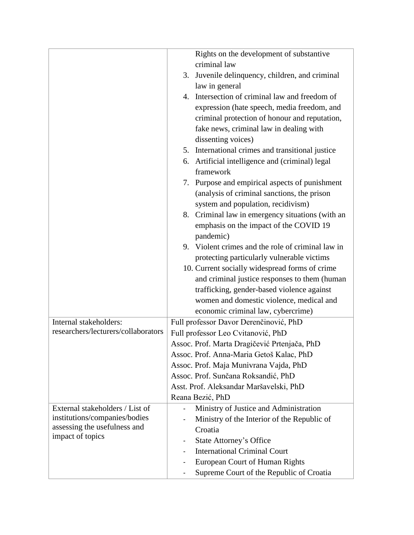|                                     | Rights on the development of substantive           |
|-------------------------------------|----------------------------------------------------|
|                                     | criminal law                                       |
|                                     | Juvenile delinquency, children, and criminal<br>3. |
|                                     | law in general                                     |
|                                     | 4. Intersection of criminal law and freedom of     |
|                                     | expression (hate speech, media freedom, and        |
|                                     | criminal protection of honour and reputation,      |
|                                     | fake news, criminal law in dealing with            |
|                                     | dissenting voices)                                 |
|                                     | 5. International crimes and transitional justice   |
|                                     | Artificial intelligence and (criminal) legal<br>6. |
|                                     | framework                                          |
|                                     | Purpose and empirical aspects of punishment<br>7.  |
|                                     | (analysis of criminal sanctions, the prison        |
|                                     | system and population, recidivism)                 |
|                                     | 8. Criminal law in emergency situations (with an   |
|                                     | emphasis on the impact of the COVID 19             |
|                                     | pandemic)                                          |
|                                     | 9. Violent crimes and the role of criminal law in  |
|                                     | protecting particularly vulnerable victims         |
|                                     | 10. Current socially widespread forms of crime     |
|                                     | and criminal justice responses to them (human      |
|                                     | trafficking, gender-based violence against         |
|                                     | women and domestic violence, medical and           |
|                                     | economic criminal law, cybercrime)                 |
| Internal stakeholders:              | Full professor Davor Derenčinović, PhD             |
| researchers/lecturers/collaborators | Full professor Leo Cvitanović, PhD                 |
|                                     | Assoc. Prof. Marta Dragičević Prtenjača, PhD       |
|                                     | Assoc. Prof. Anna-Maria Getoš Kalac, PhD           |
|                                     | Assoc. Prof. Maja Munivrana Vajda, PhD             |
|                                     | Assoc. Prof. Sunčana Roksandić, PhD                |
|                                     | Asst. Prof. Aleksandar Maršavelski, PhD            |
|                                     | Reana Bezić, PhD                                   |
| External stakeholders / List of     | Ministry of Justice and Administration             |
| institutions/companies/bodies       | Ministry of the Interior of the Republic of        |
| assessing the usefulness and        | Croatia                                            |
| impact of topics                    | <b>State Attorney's Office</b>                     |
|                                     | -<br><b>International Criminal Court</b>           |
|                                     |                                                    |
|                                     | <b>European Court of Human Rights</b>              |
|                                     | Supreme Court of the Republic of Croatia           |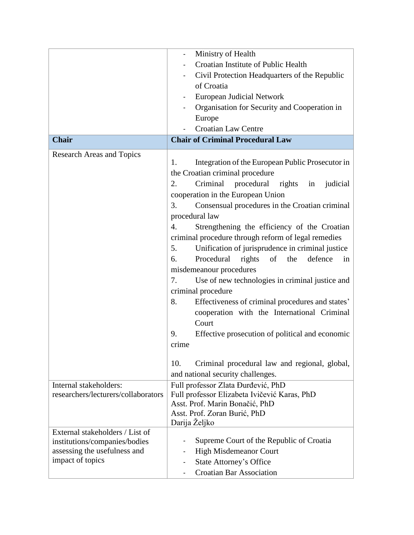|                                     | Ministry of Health                                               |
|-------------------------------------|------------------------------------------------------------------|
|                                     | Croatian Institute of Public Health                              |
|                                     | Civil Protection Headquarters of the Republic                    |
|                                     | of Croatia                                                       |
|                                     | European Judicial Network                                        |
|                                     | Organisation for Security and Cooperation in                     |
|                                     | Europe                                                           |
|                                     | <b>Croatian Law Centre</b>                                       |
| <b>Chair</b>                        | <b>Chair of Criminal Procedural Law</b>                          |
|                                     |                                                                  |
| <b>Research Areas and Topics</b>    | Integration of the European Public Prosecutor in<br>1.           |
|                                     | the Croatian criminal procedure                                  |
|                                     | Criminal<br>procedural<br>rights<br>judicial<br>2.<br>in         |
|                                     | cooperation in the European Union                                |
|                                     | 3.<br>Consensual procedures in the Croatian criminal             |
|                                     | procedural law                                                   |
|                                     | $\overline{4}$ .<br>Strengthening the efficiency of the Croatian |
|                                     | criminal procedure through reform of legal remedies              |
|                                     | Unification of jurisprudence in criminal justice<br>5.           |
|                                     | 6.<br>Procedural<br>rights<br>of<br>defence<br>the<br>in         |
|                                     |                                                                  |
|                                     | misdemeanour procedures                                          |
|                                     | Use of new technologies in criminal justice and<br>7.            |
|                                     | criminal procedure                                               |
|                                     | 8.<br>Effectiveness of criminal procedures and states'           |
|                                     | cooperation with the International Criminal                      |
|                                     | Court                                                            |
|                                     | Effective prosecution of political and economic<br>9.            |
|                                     | crime                                                            |
|                                     | 10.<br>Criminal procedural law and regional, global,             |
|                                     | and national security challenges.                                |
| Internal stakeholders:              | Full professor Zlata Đurđević, PhD                               |
| researchers/lecturers/collaborators | Full professor Elizabeta Ivičević Karas, PhD                     |
|                                     | Asst. Prof. Marin Bonačić, PhD                                   |
|                                     | Asst. Prof. Zoran Burić, PhD                                     |
|                                     | Darija Željko                                                    |
| External stakeholders / List of     |                                                                  |
| institutions/companies/bodies       | Supreme Court of the Republic of Croatia                         |
| assessing the usefulness and        | <b>High Misdemeanor Court</b>                                    |
| impact of topics                    | <b>State Attorney's Office</b>                                   |
|                                     | <b>Croatian Bar Association</b>                                  |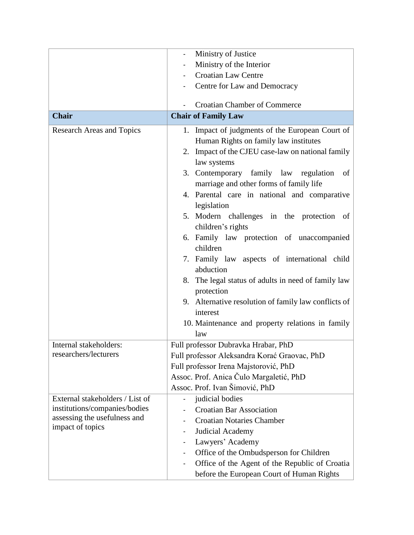|                                  | Ministry of Justice                                                                      |
|----------------------------------|------------------------------------------------------------------------------------------|
|                                  | Ministry of the Interior                                                                 |
|                                  | <b>Croatian Law Centre</b>                                                               |
|                                  | Centre for Law and Democracy                                                             |
|                                  |                                                                                          |
|                                  | <b>Croatian Chamber of Commerce</b>                                                      |
| <b>Chair</b>                     | <b>Chair of Family Law</b>                                                               |
| <b>Research Areas and Topics</b> | 1. Impact of judgments of the European Court of<br>Human Rights on family law institutes |
|                                  | 2. Impact of the CJEU case-law on national family<br>law systems                         |
|                                  | 3. Contemporary family law regulation<br>of<br>marriage and other forms of family life   |
|                                  | 4. Parental care in national and comparative<br>legislation                              |
|                                  | 5. Modern challenges in the protection of<br>children's rights                           |
|                                  | 6. Family law protection of unaccompanied                                                |
|                                  | children<br>7. Family law aspects of international child                                 |
|                                  | abduction                                                                                |
|                                  | 8. The legal status of adults in need of family law                                      |
|                                  | protection                                                                               |
|                                  | 9. Alternative resolution of family law conflicts of<br>interest                         |
|                                  | 10. Maintenance and property relations in family                                         |
|                                  | law                                                                                      |
| Internal stakeholders:           | Full professor Dubravka Hrabar, PhD                                                      |
| researchers/lecturers            | Full professor Aleksandra Korać Graovac, PhD                                             |
|                                  | Full professor Irena Majstorović, PhD                                                    |
|                                  | Assoc. Prof. Anica Čulo Margaletić, PhD                                                  |
|                                  | Assoc. Prof. Ivan Šimović, PhD                                                           |
| External stakeholders / List of  | judicial bodies                                                                          |
| institutions/companies/bodies    | <b>Croatian Bar Association</b>                                                          |
| assessing the usefulness and     | <b>Croatian Notaries Chamber</b>                                                         |
| impact of topics                 | Judicial Academy                                                                         |
|                                  | Lawyers' Academy                                                                         |
|                                  | Office of the Ombudsperson for Children                                                  |
|                                  | Office of the Agent of the Republic of Croatia                                           |
|                                  | before the European Court of Human Rights                                                |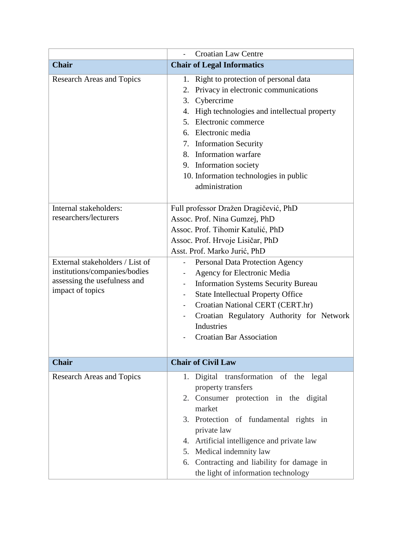|                                                                                                                                                                         | <b>Croatian Law Centre</b>                                                                                                                                                                                                                                                                                                                                                                                                                                                                                                             |
|-------------------------------------------------------------------------------------------------------------------------------------------------------------------------|----------------------------------------------------------------------------------------------------------------------------------------------------------------------------------------------------------------------------------------------------------------------------------------------------------------------------------------------------------------------------------------------------------------------------------------------------------------------------------------------------------------------------------------|
| <b>Chair</b>                                                                                                                                                            | <b>Chair of Legal Informatics</b>                                                                                                                                                                                                                                                                                                                                                                                                                                                                                                      |
| <b>Research Areas and Topics</b>                                                                                                                                        | 1. Right to protection of personal data<br>Privacy in electronic communications<br>2.<br>Cybercrime<br>3.<br>High technologies and intellectual property<br>4.<br>Electronic commerce<br>5.<br>6. Electronic media<br>7. Information Security<br>8. Information warfare<br>9. Information society<br>10. Information technologies in public<br>administration                                                                                                                                                                          |
| Internal stakeholders:<br>researchers/lecturers<br>External stakeholders / List of<br>institutions/companies/bodies<br>assessing the usefulness and<br>impact of topics | Full professor Dražen Dragičević, PhD<br>Assoc. Prof. Nina Gumzej, PhD<br>Assoc. Prof. Tihomir Katulić, PhD<br>Assoc. Prof. Hrvoje Lisičar, PhD<br>Asst. Prof. Marko Jurić, PhD<br>Personal Data Protection Agency<br>Agency for Electronic Media<br><b>Information Systems Security Bureau</b><br>$\overline{\phantom{a}}$<br><b>State Intellectual Property Office</b><br>Croatian National CERT (CERT.hr)<br>$\overline{\phantom{a}}$<br>Croatian Regulatory Authority for Network<br>Industries<br><b>Croatian Bar Association</b> |
| <b>Chair</b>                                                                                                                                                            | <b>Chair of Civil Law</b>                                                                                                                                                                                                                                                                                                                                                                                                                                                                                                              |
| <b>Research Areas and Topics</b>                                                                                                                                        | 1. Digital transformation of the legal<br>property transfers<br>2. Consumer protection in the digital<br>market<br>3. Protection of fundamental rights in<br>private law<br>4. Artificial intelligence and private law<br>5. Medical indemnity law<br>6. Contracting and liability for damage in<br>the light of information technology                                                                                                                                                                                                |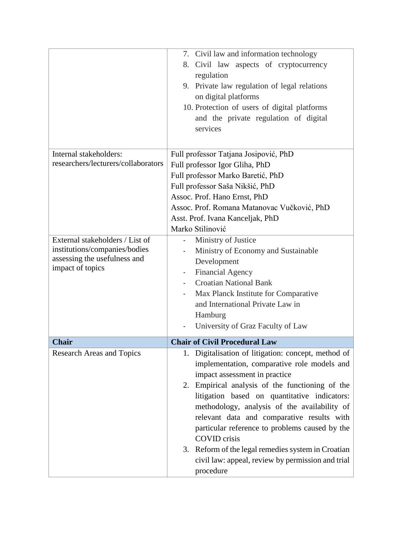|                                     | 7. Civil law and information technology             |  |  |
|-------------------------------------|-----------------------------------------------------|--|--|
|                                     | 8. Civil law aspects of cryptocurrency              |  |  |
|                                     | regulation                                          |  |  |
|                                     | 9. Private law regulation of legal relations        |  |  |
|                                     | on digital platforms                                |  |  |
|                                     | 10. Protection of users of digital platforms        |  |  |
|                                     |                                                     |  |  |
|                                     | and the private regulation of digital               |  |  |
|                                     | services                                            |  |  |
|                                     |                                                     |  |  |
| Internal stakeholders:              | Full professor Tatjana Josipović, PhD               |  |  |
| researchers/lecturers/collaborators | Full professor Igor Gliha, PhD                      |  |  |
|                                     | Full professor Marko Baretić, PhD                   |  |  |
|                                     | Full professor Saša Nikšić, PhD                     |  |  |
|                                     | Assoc. Prof. Hano Ernst, PhD                        |  |  |
|                                     | Assoc. Prof. Romana Matanovac Vučković, PhD         |  |  |
|                                     | Asst. Prof. Ivana Kanceljak, PhD                    |  |  |
|                                     | Marko Stilinović                                    |  |  |
| External stakeholders / List of     | Ministry of Justice                                 |  |  |
| institutions/companies/bodies       | Ministry of Economy and Sustainable                 |  |  |
| assessing the usefulness and        | Development                                         |  |  |
| impact of topics                    | <b>Financial Agency</b>                             |  |  |
|                                     | <b>Croatian National Bank</b>                       |  |  |
|                                     | Max Planck Institute for Comparative                |  |  |
|                                     | and International Private Law in                    |  |  |
|                                     | Hamburg                                             |  |  |
|                                     | University of Graz Faculty of Law                   |  |  |
|                                     |                                                     |  |  |
| <b>Chair</b>                        | <b>Chair of Civil Procedural Law</b>                |  |  |
| <b>Research Areas and Topics</b>    | 1. Digitalisation of litigation: concept, method of |  |  |
|                                     | implementation, comparative role models and         |  |  |
|                                     | impact assessment in practice                       |  |  |
|                                     | 2. Empirical analysis of the functioning of the     |  |  |
|                                     | litigation based on quantitative indicators:        |  |  |
|                                     | methodology, analysis of the availability of        |  |  |
|                                     | relevant data and comparative results with          |  |  |
|                                     | particular reference to problems caused by the      |  |  |
|                                     | <b>COVID</b> crisis                                 |  |  |
|                                     | 3. Reform of the legal remedies system in Croatian  |  |  |
|                                     | civil law: appeal, review by permission and trial   |  |  |
|                                     | procedure                                           |  |  |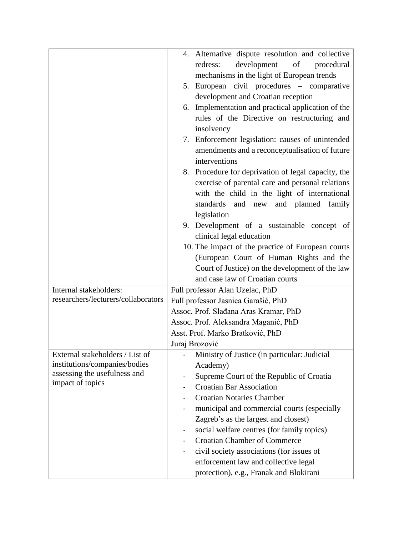|                                     | 4. Alternative dispute resolution and collective                |
|-------------------------------------|-----------------------------------------------------------------|
|                                     | development<br>of<br>redress:<br>procedural                     |
|                                     | mechanisms in the light of European trends                      |
|                                     |                                                                 |
|                                     | 5. European civil procedures - comparative                      |
|                                     | development and Croatian reception                              |
|                                     | 6. Implementation and practical application of the              |
|                                     | rules of the Directive on restructuring and<br>insolvency       |
|                                     | 7. Enforcement legislation: causes of unintended                |
|                                     | amendments and a reconceptualisation of future<br>interventions |
|                                     | 8. Procedure for deprivation of legal capacity, the             |
|                                     | exercise of parental care and personal relations                |
|                                     | with the child in the light of international                    |
|                                     | standards and new and planned family                            |
|                                     | legislation                                                     |
|                                     | 9. Development of a sustainable concept of                      |
|                                     | clinical legal education                                        |
|                                     | 10. The impact of the practice of European courts               |
|                                     | (European Court of Human Rights and the                         |
|                                     | Court of Justice) on the development of the law                 |
|                                     | and case law of Croatian courts                                 |
| Internal stakeholders:              | Full professor Alan Uzelac, PhD                                 |
| researchers/lecturers/collaborators | Full professor Jasnica Garašić, PhD                             |
|                                     | Assoc. Prof. Slađana Aras Kramar, PhD                           |
|                                     | Assoc. Prof. Aleksandra Maganić, PhD                            |
|                                     | Asst. Prof. Marko Bratković, PhD                                |
|                                     | Juraj Brozović                                                  |
| External stakeholders / List of     | Ministry of Justice (in particular: Judicial                    |
| institutions/companies/bodies       | Academy)                                                        |
| assessing the usefulness and        | Supreme Court of the Republic of Croatia                        |
| impact of topics                    | <b>Croatian Bar Association</b>                                 |
|                                     | <b>Croatian Notaries Chamber</b>                                |
|                                     | municipal and commercial courts (especially<br>۰                |
|                                     | Zagreb's as the largest and closest)                            |
|                                     | social welfare centres (for family topics)<br>-                 |
|                                     | <b>Croatian Chamber of Commerce</b>                             |
|                                     | civil society associations (for issues of                       |
|                                     | enforcement law and collective legal                            |
|                                     | protection), e.g., Franak and Blokirani                         |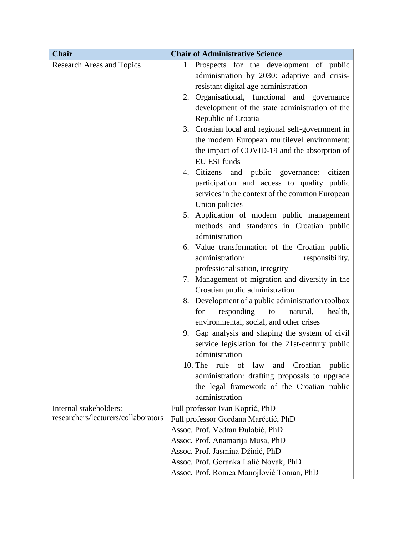| <b>Chair</b>                        | <b>Chair of Administrative Science</b>                       |
|-------------------------------------|--------------------------------------------------------------|
| <b>Research Areas and Topics</b>    | Prospects for the development of public<br>1.                |
|                                     | administration by 2030: adaptive and crisis-                 |
|                                     | resistant digital age administration                         |
|                                     | 2. Organisational, functional and governance                 |
|                                     | development of the state administration of the               |
|                                     | Republic of Croatia                                          |
|                                     | 3. Croatian local and regional self-government in            |
|                                     | the modern European multilevel environment:                  |
|                                     | the impact of COVID-19 and the absorption of                 |
|                                     | <b>EU ESI funds</b>                                          |
|                                     | 4. Citizens and public governance:<br>citizen                |
|                                     | participation and access to quality public                   |
|                                     | services in the context of the common European               |
|                                     | Union policies<br>5. Application of modern public management |
|                                     | methods and standards in Croatian public                     |
|                                     | administration                                               |
|                                     | 6. Value transformation of the Croatian public               |
|                                     | administration:<br>responsibility,                           |
|                                     | professionalisation, integrity                               |
|                                     | Management of migration and diversity in the<br>7.           |
|                                     | Croatian public administration                               |
|                                     | Development of a public administration toolbox<br>8.         |
|                                     | responding<br>for<br>natural,<br>health,<br>to               |
|                                     | environmental, social, and other crises                      |
|                                     | 9. Gap analysis and shaping the system of civil              |
|                                     | service legislation for the 21st-century public              |
|                                     | administration                                               |
|                                     | 10. The<br>rule of<br>law<br>and<br>Croatian<br>public       |
|                                     | administration: drafting proposals to upgrade                |
|                                     | the legal framework of the Croatian public                   |
|                                     | administration                                               |
| Internal stakeholders:              | Full professor Ivan Koprić, PhD                              |
| researchers/lecturers/collaborators | Full professor Gordana Marčetić, PhD                         |
|                                     | Assoc. Prof. Vedran Đulabić, PhD                             |
|                                     | Assoc. Prof. Anamarija Musa, PhD                             |
|                                     | Assoc. Prof. Jasmina Džinić, PhD                             |
|                                     | Assoc. Prof. Goranka Lalić Novak, PhD                        |
|                                     | Assoc. Prof. Romea Manojlović Toman, PhD                     |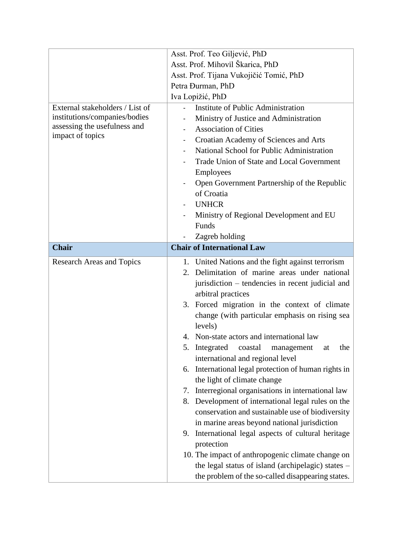|                                  | Asst. Prof. Teo Giljević, PhD                                  |  |  |  |
|----------------------------------|----------------------------------------------------------------|--|--|--|
|                                  | Asst. Prof. Mihovil Škarica, PhD                               |  |  |  |
|                                  | Asst. Prof. Tijana Vukojičić Tomić, PhD                        |  |  |  |
|                                  | Petra Đurman, PhD                                              |  |  |  |
|                                  | Iva Lopižić, PhD                                               |  |  |  |
| External stakeholders / List of  | Institute of Public Administration                             |  |  |  |
| institutions/companies/bodies    | Ministry of Justice and Administration                         |  |  |  |
| assessing the usefulness and     | <b>Association of Cities</b>                                   |  |  |  |
| impact of topics                 | Croatian Academy of Sciences and Arts                          |  |  |  |
|                                  | National School for Public Administration<br>-                 |  |  |  |
|                                  | Trade Union of State and Local Government                      |  |  |  |
|                                  | Employees                                                      |  |  |  |
|                                  | Open Government Partnership of the Republic                    |  |  |  |
|                                  | of Croatia                                                     |  |  |  |
|                                  | <b>UNHCR</b>                                                   |  |  |  |
|                                  | Ministry of Regional Development and EU                        |  |  |  |
|                                  | Funds                                                          |  |  |  |
|                                  | Zagreb holding                                                 |  |  |  |
| <b>Chair</b>                     | <b>Chair of International Law</b>                              |  |  |  |
| <b>Research Areas and Topics</b> | 1. United Nations and the fight against terrorism              |  |  |  |
|                                  | Delimitation of marine areas under national<br>2.              |  |  |  |
|                                  | jurisdiction – tendencies in recent judicial and               |  |  |  |
|                                  | arbitral practices                                             |  |  |  |
|                                  | 3. Forced migration in the context of climate                  |  |  |  |
|                                  | change (with particular emphasis on rising sea                 |  |  |  |
|                                  | levels)                                                        |  |  |  |
|                                  | 4. Non-state actors and international law                      |  |  |  |
|                                  | 5.<br>Integrated<br>the<br>coastal<br>at<br>management         |  |  |  |
|                                  | international and regional level                               |  |  |  |
|                                  | International legal protection of human rights in<br>6.        |  |  |  |
|                                  | the light of climate change                                    |  |  |  |
|                                  | Interregional organisations in international law<br>7.         |  |  |  |
|                                  | Development of international legal rules on the<br>8.          |  |  |  |
|                                  | conservation and sustainable use of biodiversity               |  |  |  |
|                                  | in marine areas beyond national jurisdiction<br>9.             |  |  |  |
|                                  | International legal aspects of cultural heritage<br>protection |  |  |  |
|                                  | 10. The impact of anthropogenic climate change on              |  |  |  |
|                                  | the legal status of island (archipelagic) states $-$           |  |  |  |
|                                  | the problem of the so-called disappearing states.              |  |  |  |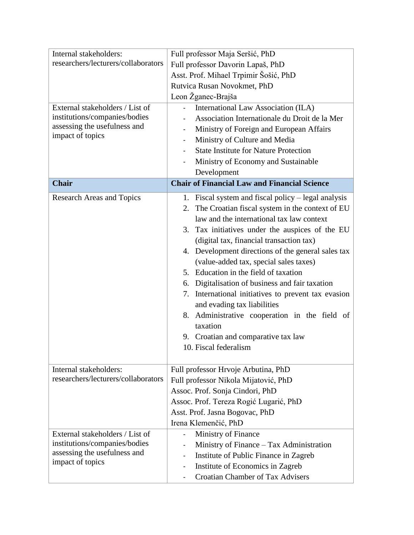| Internal stakeholders:              | Full professor Maja Seršić, PhD                          |  |  |  |
|-------------------------------------|----------------------------------------------------------|--|--|--|
| researchers/lecturers/collaborators | Full professor Davorin Lapaš, PhD                        |  |  |  |
|                                     | Asst. Prof. Mihael Trpimir Šošić, PhD                    |  |  |  |
|                                     | Rutvica Rusan Novokmet, PhD                              |  |  |  |
|                                     | Leon Žganec-Brajša                                       |  |  |  |
| External stakeholders / List of     | International Law Association (ILA)                      |  |  |  |
| institutions/companies/bodies       | Association Internationale du Droit de la Mer            |  |  |  |
| assessing the usefulness and        | Ministry of Foreign and European Affairs<br>-            |  |  |  |
| impact of topics                    | Ministry of Culture and Media                            |  |  |  |
|                                     | <b>State Institute for Nature Protection</b>             |  |  |  |
|                                     | Ministry of Economy and Sustainable                      |  |  |  |
|                                     | Development                                              |  |  |  |
| <b>Chair</b>                        | <b>Chair of Financial Law and Financial Science</b>      |  |  |  |
| <b>Research Areas and Topics</b>    | Fiscal system and fiscal policy $-$ legal analysis<br>1. |  |  |  |
|                                     | The Croatian fiscal system in the context of EU<br>2.    |  |  |  |
|                                     | law and the international tax law context                |  |  |  |
|                                     | Tax initiatives under the auspices of the EU<br>3.       |  |  |  |
|                                     | (digital tax, financial transaction tax)                 |  |  |  |
|                                     | 4. Development directions of the general sales tax       |  |  |  |
|                                     | (value-added tax, special sales taxes)                   |  |  |  |
|                                     | Education in the field of taxation<br>5.                 |  |  |  |
|                                     | Digitalisation of business and fair taxation<br>6.       |  |  |  |
|                                     | International initiatives to prevent tax evasion<br>7.   |  |  |  |
|                                     | and evading tax liabilities                              |  |  |  |
|                                     | 8. Administrative cooperation in the field of            |  |  |  |
|                                     | taxation                                                 |  |  |  |
|                                     | 9. Croatian and comparative tax law                      |  |  |  |
|                                     | 10. Fiscal federalism                                    |  |  |  |
|                                     |                                                          |  |  |  |
| Internal stakeholders:              | Full professor Hrvoje Arbutina, PhD                      |  |  |  |
| researchers/lecturers/collaborators | Full professor Nikola Mijatović, PhD                     |  |  |  |
|                                     | Assoc. Prof. Sonja Cindori, PhD                          |  |  |  |
|                                     | Assoc. Prof. Tereza Rogić Lugarić, PhD                   |  |  |  |
|                                     | Asst. Prof. Jasna Bogovac, PhD                           |  |  |  |
|                                     | Irena Klemenčić, PhD                                     |  |  |  |
| External stakeholders / List of     | Ministry of Finance<br>4                                 |  |  |  |
| institutions/companies/bodies       | Ministry of Finance – Tax Administration                 |  |  |  |
| assessing the usefulness and        | Institute of Public Finance in Zagreb                    |  |  |  |
| impact of topics                    | Institute of Economics in Zagreb<br>-                    |  |  |  |
|                                     | <b>Croatian Chamber of Tax Advisers</b>                  |  |  |  |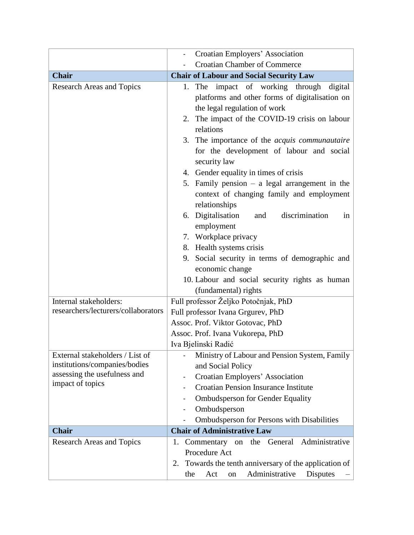|                                                                  | Croatian Employers' Association                                                                                                                                                                                                                            |
|------------------------------------------------------------------|------------------------------------------------------------------------------------------------------------------------------------------------------------------------------------------------------------------------------------------------------------|
|                                                                  | <b>Croatian Chamber of Commerce</b>                                                                                                                                                                                                                        |
| <b>Chair</b>                                                     | <b>Chair of Labour and Social Security Law</b>                                                                                                                                                                                                             |
| <b>Research Areas and Topics</b>                                 | The impact of working through<br>digital<br>1.<br>platforms and other forms of digitalisation on<br>the legal regulation of work<br>The impact of the COVID-19 crisis on labour<br>2.<br>relations<br>3. The importance of the <i>acquis communautaire</i> |
|                                                                  | for the development of labour and social<br>security law<br>4. Gender equality in times of crisis<br>Family pension $-$ a legal arrangement in the<br>5.                                                                                                   |
|                                                                  | context of changing family and employment<br>relationships                                                                                                                                                                                                 |
|                                                                  | 6. Digitalisation<br>discrimination<br>and<br>in<br>employment                                                                                                                                                                                             |
|                                                                  | 7. Workplace privacy                                                                                                                                                                                                                                       |
|                                                                  | 8. Health systems crisis                                                                                                                                                                                                                                   |
|                                                                  | 9. Social security in terms of demographic and<br>economic change                                                                                                                                                                                          |
|                                                                  | 10. Labour and social security rights as human                                                                                                                                                                                                             |
|                                                                  | (fundamental) rights                                                                                                                                                                                                                                       |
| Internal stakeholders:                                           | Full professor Željko Potočnjak, PhD                                                                                                                                                                                                                       |
| researchers/lecturers/collaborators                              | Full professor Ivana Grgurev, PhD                                                                                                                                                                                                                          |
|                                                                  | Assoc. Prof. Viktor Gotovac, PhD                                                                                                                                                                                                                           |
|                                                                  | Assoc. Prof. Ivana Vukorepa, PhD                                                                                                                                                                                                                           |
|                                                                  | Iva Bjelinski Radić                                                                                                                                                                                                                                        |
| External stakeholders / List of<br>institutions/companies/bodies | Ministry of Labour and Pension System, Family<br>and Social Policy                                                                                                                                                                                         |
| assessing the usefulness and<br>impact of topics                 | Croatian Employers' Association                                                                                                                                                                                                                            |
|                                                                  | <b>Croatian Pension Insurance Institute</b>                                                                                                                                                                                                                |
|                                                                  | <b>Ombudsperson for Gender Equality</b>                                                                                                                                                                                                                    |
|                                                                  | Ombudsperson                                                                                                                                                                                                                                               |
|                                                                  | Ombudsperson for Persons with Disabilities                                                                                                                                                                                                                 |
| <b>Chair</b>                                                     | <b>Chair of Administrative Law</b>                                                                                                                                                                                                                         |
| <b>Research Areas and Topics</b>                                 | Administrative<br>General<br>Commentary on<br>the<br>1.                                                                                                                                                                                                    |
|                                                                  | Procedure Act                                                                                                                                                                                                                                              |
|                                                                  | Towards the tenth anniversary of the application of<br>2.                                                                                                                                                                                                  |
|                                                                  | Administrative<br><b>Disputes</b><br>Act<br>the<br>on                                                                                                                                                                                                      |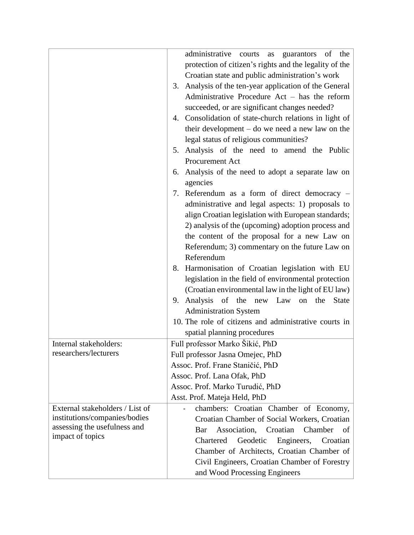|                                                                           | administrative courts<br>guarantors<br>of the<br>as                                                                                                                                                                                                                                                    |
|---------------------------------------------------------------------------|--------------------------------------------------------------------------------------------------------------------------------------------------------------------------------------------------------------------------------------------------------------------------------------------------------|
|                                                                           | protection of citizen's rights and the legality of the                                                                                                                                                                                                                                                 |
|                                                                           |                                                                                                                                                                                                                                                                                                        |
|                                                                           | Croatian state and public administration's work                                                                                                                                                                                                                                                        |
|                                                                           | 3. Analysis of the ten-year application of the General                                                                                                                                                                                                                                                 |
|                                                                           | Administrative Procedure Act - has the reform                                                                                                                                                                                                                                                          |
|                                                                           | succeeded, or are significant changes needed?                                                                                                                                                                                                                                                          |
|                                                                           | 4. Consolidation of state-church relations in light of                                                                                                                                                                                                                                                 |
|                                                                           | their development $-$ do we need a new law on the                                                                                                                                                                                                                                                      |
|                                                                           | legal status of religious communities?                                                                                                                                                                                                                                                                 |
|                                                                           | 5. Analysis of the need to amend the Public                                                                                                                                                                                                                                                            |
|                                                                           | Procurement Act                                                                                                                                                                                                                                                                                        |
|                                                                           | Analysis of the need to adopt a separate law on<br>6.                                                                                                                                                                                                                                                  |
|                                                                           | agencies                                                                                                                                                                                                                                                                                               |
|                                                                           |                                                                                                                                                                                                                                                                                                        |
|                                                                           | 7. Referendum as a form of direct democracy –                                                                                                                                                                                                                                                          |
|                                                                           | administrative and legal aspects: 1) proposals to                                                                                                                                                                                                                                                      |
|                                                                           | align Croatian legislation with European standards;                                                                                                                                                                                                                                                    |
|                                                                           | 2) analysis of the (upcoming) adoption process and                                                                                                                                                                                                                                                     |
|                                                                           | the content of the proposal for a new Law on                                                                                                                                                                                                                                                           |
|                                                                           | Referendum; 3) commentary on the future Law on                                                                                                                                                                                                                                                         |
|                                                                           | Referendum                                                                                                                                                                                                                                                                                             |
|                                                                           | 8. Harmonisation of Croatian legislation with EU                                                                                                                                                                                                                                                       |
|                                                                           | legislation in the field of environmental protection                                                                                                                                                                                                                                                   |
|                                                                           | (Croatian environmental law in the light of EU law)                                                                                                                                                                                                                                                    |
|                                                                           | 9. Analysis<br>of the new Law<br>the<br><b>State</b><br>on                                                                                                                                                                                                                                             |
|                                                                           | <b>Administration System</b>                                                                                                                                                                                                                                                                           |
|                                                                           | 10. The role of citizens and administrative courts in                                                                                                                                                                                                                                                  |
|                                                                           | spatial planning procedures                                                                                                                                                                                                                                                                            |
| Internal stakeholders:                                                    | Full professor Marko Šikić, PhD                                                                                                                                                                                                                                                                        |
|                                                                           |                                                                                                                                                                                                                                                                                                        |
|                                                                           |                                                                                                                                                                                                                                                                                                        |
|                                                                           |                                                                                                                                                                                                                                                                                                        |
|                                                                           |                                                                                                                                                                                                                                                                                                        |
|                                                                           |                                                                                                                                                                                                                                                                                                        |
|                                                                           |                                                                                                                                                                                                                                                                                                        |
| External stakeholders / List of                                           | chambers: Croatian Chamber of Economy,                                                                                                                                                                                                                                                                 |
| institutions/companies/bodies                                             | Croatian Chamber of Social Workers, Croatian                                                                                                                                                                                                                                                           |
|                                                                           | Association,<br>Croatian<br>Chamber<br>of<br>Bar                                                                                                                                                                                                                                                       |
|                                                                           | Geodetic<br>Chartered<br>Engineers,<br>Croatian                                                                                                                                                                                                                                                        |
|                                                                           |                                                                                                                                                                                                                                                                                                        |
|                                                                           |                                                                                                                                                                                                                                                                                                        |
|                                                                           |                                                                                                                                                                                                                                                                                                        |
| researchers/lecturers<br>assessing the usefulness and<br>impact of topics | Full professor Jasna Omejec, PhD<br>Assoc. Prof. Frane Staničić, PhD<br>Assoc. Prof. Lana Ofak, PhD<br>Assoc. Prof. Marko Turudić, PhD<br>Asst. Prof. Mateja Held, PhD<br>Chamber of Architects, Croatian Chamber of<br>Civil Engineers, Croatian Chamber of Forestry<br>and Wood Processing Engineers |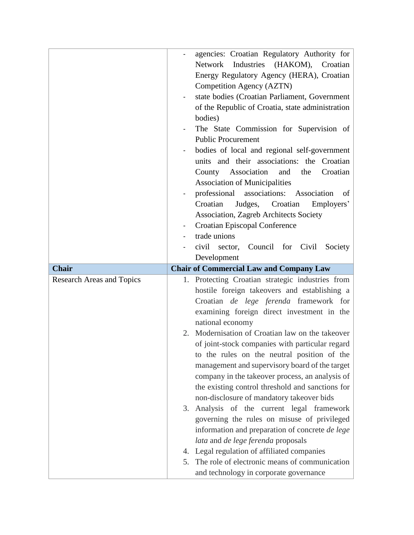|                                  |    | agencies: Croatian Regulatory Authority for                                             |
|----------------------------------|----|-----------------------------------------------------------------------------------------|
|                                  |    | Industries<br>(HAKOM),<br>Network<br>Croatian                                           |
|                                  |    | Energy Regulatory Agency (HERA), Croatian                                               |
|                                  |    | Competition Agency (AZTN)                                                               |
|                                  |    | state bodies (Croatian Parliament, Government                                           |
|                                  |    | of the Republic of Croatia, state administration                                        |
|                                  |    | bodies)                                                                                 |
|                                  |    | The State Commission for Supervision of                                                 |
|                                  |    | <b>Public Procurement</b>                                                               |
|                                  |    | bodies of local and regional self-government                                            |
|                                  |    | units and their associations: the Croatian                                              |
|                                  |    | County Association<br>Croatian<br>and<br>the                                            |
|                                  |    | <b>Association of Municipalities</b>                                                    |
|                                  |    | professional<br>associations:<br>Association<br>of                                      |
|                                  |    | Croatian<br>Croatian<br>Judges,<br>Employers'                                           |
|                                  |    | Association, Zagreb Architects Society                                                  |
|                                  |    | Croatian Episcopal Conference                                                           |
|                                  |    | trade unions                                                                            |
|                                  |    | civil<br>Council for Civil<br>Society<br>sector,                                        |
|                                  |    | Development                                                                             |
|                                  |    |                                                                                         |
| <b>Chair</b>                     |    | <b>Chair of Commercial Law and Company Law</b>                                          |
| <b>Research Areas and Topics</b> |    | 1. Protecting Croatian strategic industries from                                        |
|                                  |    | hostile foreign takeovers and establishing a                                            |
|                                  |    | Croatian de lege ferenda framework for                                                  |
|                                  |    | examining foreign direct investment in the                                              |
|                                  |    | national economy                                                                        |
|                                  | 2. | Modernisation of Croatian law on the takeover                                           |
|                                  |    | of joint-stock companies with particular regard                                         |
|                                  |    | to the rules on the neutral position of the                                             |
|                                  |    | management and supervisory board of the target                                          |
|                                  |    | company in the takeover process, an analysis of                                         |
|                                  |    | the existing control threshold and sanctions for                                        |
|                                  |    | non-disclosure of mandatory takeover bids                                               |
|                                  | 3. | Analysis of the current legal framework                                                 |
|                                  |    | governing the rules on misuse of privileged                                             |
|                                  |    | information and preparation of concrete de lege                                         |
|                                  |    | lata and de lege ferenda proposals                                                      |
|                                  |    | 4. Legal regulation of affiliated companies                                             |
|                                  | 5. | The role of electronic means of communication<br>and technology in corporate governance |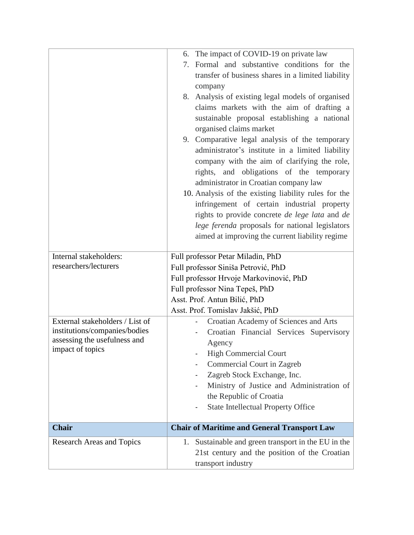|                                  | 6. The impact of COVID-19 on private law                     |
|----------------------------------|--------------------------------------------------------------|
|                                  | 7. Formal and substantive conditions for the                 |
|                                  | transfer of business shares in a limited liability           |
|                                  | company                                                      |
|                                  | 8. Analysis of existing legal models of organised            |
|                                  | claims markets with the aim of drafting a                    |
|                                  | sustainable proposal establishing a national                 |
|                                  | organised claims market                                      |
|                                  | 9. Comparative legal analysis of the temporary               |
|                                  | administrator's institute in a limited liability             |
|                                  | company with the aim of clarifying the role,                 |
|                                  | rights, and obligations of the temporary                     |
|                                  | administrator in Croatian company law                        |
|                                  | 10. Analysis of the existing liability rules for the         |
|                                  | infringement of certain industrial property                  |
|                                  | rights to provide concrete <i>de lege lata</i> and <i>de</i> |
|                                  | lege ferenda proposals for national legislators              |
|                                  | aimed at improving the current liability regime              |
|                                  |                                                              |
| Internal stakeholders:           | Full professor Petar Miladin, PhD                            |
| researchers/lecturers            | Full professor Siniša Petrović, PhD                          |
|                                  | Full professor Hrvoje Markovinović, PhD                      |
|                                  | Full professor Nina Tepeš, PhD                               |
|                                  | Asst. Prof. Antun Bilić, PhD                                 |
|                                  | Asst. Prof. Tomislav Jakšić, PhD                             |
| External stakeholders / List of  | Croatian Academy of Sciences and Arts                        |
| institutions/companies/bodies    | Croatian Financial Services Supervisory                      |
| assessing the usefulness and     | Agency                                                       |
| impact of topics                 | <b>High Commercial Court</b>                                 |
|                                  | Commercial Court in Zagreb                                   |
|                                  | Zagreb Stock Exchange, Inc.                                  |
|                                  | Ministry of Justice and Administration of                    |
|                                  | the Republic of Croatia                                      |
|                                  | <b>State Intellectual Property Office</b>                    |
|                                  |                                                              |
| <b>Chair</b>                     | <b>Chair of Maritime and General Transport Law</b>           |
| <b>Research Areas and Topics</b> | 1. Sustainable and green transport in the EU in the          |
|                                  | 21st century and the position of the Croatian                |
|                                  | transport industry                                           |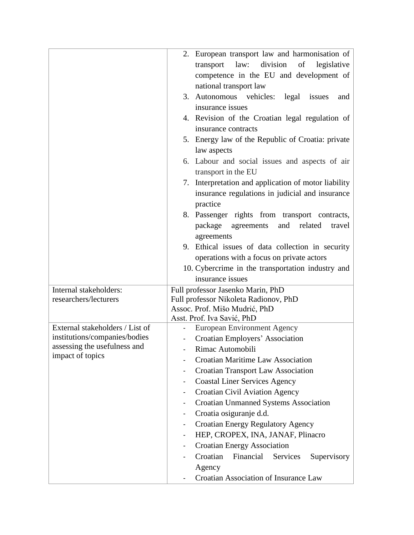| 2. European transport law and harmonisation of                                                                                                                                                                                            |        |
|-------------------------------------------------------------------------------------------------------------------------------------------------------------------------------------------------------------------------------------------|--------|
|                                                                                                                                                                                                                                           |        |
| division<br>law:<br>of<br>legislative<br>transport                                                                                                                                                                                        |        |
| competence in the EU and development of                                                                                                                                                                                                   |        |
| national transport law                                                                                                                                                                                                                    |        |
| 3. Autonomous vehicles:<br>legal<br>issues                                                                                                                                                                                                | and    |
| insurance issues                                                                                                                                                                                                                          |        |
| 4. Revision of the Croatian legal regulation of                                                                                                                                                                                           |        |
| insurance contracts                                                                                                                                                                                                                       |        |
| 5. Energy law of the Republic of Croatia: private                                                                                                                                                                                         |        |
| law aspects                                                                                                                                                                                                                               |        |
| 6. Labour and social issues and aspects of air                                                                                                                                                                                            |        |
| transport in the EU                                                                                                                                                                                                                       |        |
| 7. Interpretation and application of motor liability                                                                                                                                                                                      |        |
| insurance regulations in judicial and insurance                                                                                                                                                                                           |        |
| practice                                                                                                                                                                                                                                  |        |
| 8. Passenger rights from transport contracts,                                                                                                                                                                                             |        |
| package<br>agreements<br>and<br>related                                                                                                                                                                                                   | travel |
| agreements                                                                                                                                                                                                                                |        |
| 9. Ethical issues of data collection in security                                                                                                                                                                                          |        |
| operations with a focus on private actors                                                                                                                                                                                                 |        |
| 10. Cybercrime in the transportation industry and                                                                                                                                                                                         |        |
| insurance issues                                                                                                                                                                                                                          |        |
| Full professor Jasenko Marin, PhD<br>Internal stakeholders:                                                                                                                                                                               |        |
| researchers/lecturers<br>Full professor Nikoleta Radionov, PhD                                                                                                                                                                            |        |
| Assoc. Prof. Mišo Mudrić, PhD                                                                                                                                                                                                             |        |
| Asst. Prof. Iva Savić, PhD<br>External stakeholders / List of<br><b>European Environment Agency</b>                                                                                                                                       |        |
| institutions/companies/bodies<br>Croatian Employers' Association                                                                                                                                                                          |        |
| assessing the usefulness and<br>Rimac Automobili                                                                                                                                                                                          |        |
| impact of topics<br>Croatian Maritime Law Association                                                                                                                                                                                     |        |
| <b>Croatian Transport Law Association</b>                                                                                                                                                                                                 |        |
|                                                                                                                                                                                                                                           |        |
|                                                                                                                                                                                                                                           |        |
|                                                                                                                                                                                                                                           |        |
|                                                                                                                                                                                                                                           |        |
|                                                                                                                                                                                                                                           |        |
|                                                                                                                                                                                                                                           |        |
| <b>Croatian Energy Association</b>                                                                                                                                                                                                        |        |
|                                                                                                                                                                                                                                           |        |
| Agency                                                                                                                                                                                                                                    |        |
| Croatian Association of Insurance Law                                                                                                                                                                                                     |        |
| <b>Coastal Liner Services Agency</b><br><b>Croatian Civil Aviation Agency</b><br><b>Croatian Unmanned Systems Association</b><br>Croatia osiguranje d.d.<br><b>Croatian Energy Regulatory Agency</b><br>HEP, CROPEX, INA, JANAF, Plinacro |        |
| Croatian<br>Financial<br>Services<br>Supervisory                                                                                                                                                                                          |        |
|                                                                                                                                                                                                                                           |        |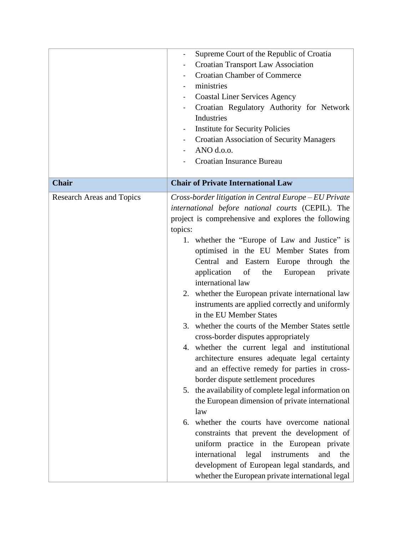|                                  | Supreme Court of the Republic of Croatia               |  |  |  |
|----------------------------------|--------------------------------------------------------|--|--|--|
|                                  | Croatian Transport Law Association                     |  |  |  |
|                                  | <b>Croatian Chamber of Commerce</b>                    |  |  |  |
|                                  | ministries                                             |  |  |  |
|                                  | <b>Coastal Liner Services Agency</b>                   |  |  |  |
|                                  | Croatian Regulatory Authority for Network              |  |  |  |
|                                  | Industries                                             |  |  |  |
|                                  | <b>Institute for Security Policies</b>                 |  |  |  |
|                                  | <b>Croatian Association of Security Managers</b>       |  |  |  |
|                                  | ANO d.o.o.                                             |  |  |  |
|                                  | Croatian Insurance Bureau                              |  |  |  |
|                                  |                                                        |  |  |  |
| <b>Chair</b>                     | <b>Chair of Private International Law</b>              |  |  |  |
| <b>Research Areas and Topics</b> | Cross-border litigation in Central Europe – EU Private |  |  |  |
|                                  | international before national courts (CEPIL). The      |  |  |  |
|                                  | project is comprehensive and explores the following    |  |  |  |
|                                  | topics:                                                |  |  |  |
|                                  | 1. whether the "Europe of Law and Justice" is          |  |  |  |
|                                  | optimised in the EU Member States from                 |  |  |  |
|                                  | Central and Eastern Europe through the                 |  |  |  |
|                                  | application<br>of<br>the<br>European<br>private        |  |  |  |
|                                  | international law                                      |  |  |  |
|                                  | 2. whether the European private international law      |  |  |  |
|                                  | instruments are applied correctly and uniformly        |  |  |  |
|                                  | in the EU Member States                                |  |  |  |
|                                  | whether the courts of the Member States settle<br>3.   |  |  |  |
|                                  | cross-border disputes appropriately                    |  |  |  |
|                                  | 4. whether the current legal and institutional         |  |  |  |
|                                  | architecture ensures adequate legal certainty          |  |  |  |
|                                  | and an effective remedy for parties in cross-          |  |  |  |
|                                  | border dispute settlement procedures                   |  |  |  |
|                                  | 5. the availability of complete legal information on   |  |  |  |
|                                  | the European dimension of private international        |  |  |  |
|                                  | law                                                    |  |  |  |
|                                  | 6. whether the courts have overcome national           |  |  |  |
|                                  | constraints that prevent the development of            |  |  |  |
|                                  | uniform practice in the European private               |  |  |  |
|                                  | international<br>legal<br>instruments<br>and<br>the    |  |  |  |
|                                  | development of European legal standards, and           |  |  |  |
|                                  | whether the European private international legal       |  |  |  |
|                                  |                                                        |  |  |  |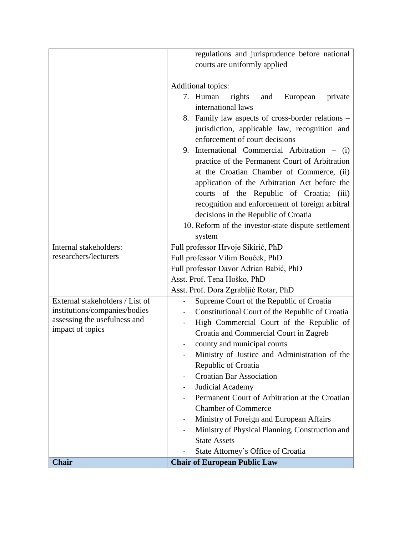|                                 | regulations and jurisprudence before national                                                             |  |  |  |
|---------------------------------|-----------------------------------------------------------------------------------------------------------|--|--|--|
|                                 | courts are uniformly applied                                                                              |  |  |  |
|                                 |                                                                                                           |  |  |  |
|                                 | Additional topics:                                                                                        |  |  |  |
|                                 | 7. Human<br>rights<br>and<br>European<br>private                                                          |  |  |  |
|                                 | international laws                                                                                        |  |  |  |
|                                 | 8. Family law aspects of cross-border relations –                                                         |  |  |  |
|                                 | jurisdiction, applicable law, recognition and                                                             |  |  |  |
|                                 | enforcement of court decisions                                                                            |  |  |  |
|                                 | 9. International Commercial Arbitration - (i)                                                             |  |  |  |
|                                 | practice of the Permanent Court of Arbitration                                                            |  |  |  |
|                                 | at the Croatian Chamber of Commerce, (ii)                                                                 |  |  |  |
|                                 | application of the Arbitration Act before the                                                             |  |  |  |
|                                 | courts of the Republic of Croatia;<br>(iii)                                                               |  |  |  |
|                                 | recognition and enforcement of foreign arbitral                                                           |  |  |  |
|                                 | decisions in the Republic of Croatia                                                                      |  |  |  |
|                                 | 10. Reform of the investor-state dispute settlement                                                       |  |  |  |
|                                 | system                                                                                                    |  |  |  |
| Internal stakeholders:          | Full professor Hrvoje Sikirić, PhD                                                                        |  |  |  |
| researchers/lecturers           |                                                                                                           |  |  |  |
|                                 | Full professor Vilim Bouček, PhD<br>Full professor Davor Adrian Babić, PhD<br>Asst. Prof. Tena Hoško, PhD |  |  |  |
|                                 |                                                                                                           |  |  |  |
|                                 | Asst. Prof. Dora Zgrabljić Rotar, PhD                                                                     |  |  |  |
| External stakeholders / List of | Supreme Court of the Republic of Croatia                                                                  |  |  |  |
| institutions/companies/bodies   | Constitutional Court of the Republic of Croatia                                                           |  |  |  |
| assessing the usefulness and    | High Commercial Court of the Republic of                                                                  |  |  |  |
| impact of topics                | Croatia and Commercial Court in Zagreb                                                                    |  |  |  |
|                                 | county and municipal courts                                                                               |  |  |  |
|                                 | Ministry of Justice and Administration of the                                                             |  |  |  |
|                                 | Republic of Croatia                                                                                       |  |  |  |
|                                 | <b>Croatian Bar Association</b>                                                                           |  |  |  |
|                                 | Judicial Academy                                                                                          |  |  |  |
|                                 | Permanent Court of Arbitration at the Croatian                                                            |  |  |  |
|                                 | <b>Chamber of Commerce</b>                                                                                |  |  |  |
|                                 | Ministry of Foreign and European Affairs                                                                  |  |  |  |
|                                 | Ministry of Physical Planning, Construction and                                                           |  |  |  |
|                                 | <b>State Assets</b>                                                                                       |  |  |  |
|                                 | State Attorney's Office of Croatia                                                                        |  |  |  |
| <b>Chair</b>                    | <b>Chair of European Public Law</b>                                                                       |  |  |  |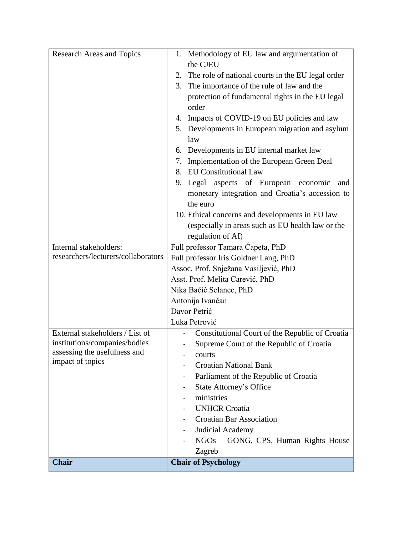| <b>Research Areas and Topics</b>                              | 1. Methodology of EU law and argumentation of<br>the CJEU                |  |  |  |
|---------------------------------------------------------------|--------------------------------------------------------------------------|--|--|--|
|                                                               | The role of national courts in the EU legal order<br>2.                  |  |  |  |
|                                                               | The importance of the rule of law and the<br>3.                          |  |  |  |
|                                                               | protection of fundamental rights in the EU legal                         |  |  |  |
|                                                               | order                                                                    |  |  |  |
|                                                               | 4. Impacts of COVID-19 on EU policies and law                            |  |  |  |
|                                                               | 5. Developments in European migration and asylum                         |  |  |  |
|                                                               | law                                                                      |  |  |  |
|                                                               | 6. Developments in EU internal market law                                |  |  |  |
|                                                               | Implementation of the European Green Deal<br>7.                          |  |  |  |
|                                                               | <b>EU Constitutional Law</b><br>8.                                       |  |  |  |
|                                                               | 9. Legal aspects of European economic<br>and                             |  |  |  |
|                                                               | monetary integration and Croatia's accession to                          |  |  |  |
|                                                               | the euro                                                                 |  |  |  |
|                                                               | 10. Ethical concerns and developments in EU law                          |  |  |  |
|                                                               | (especially in areas such as EU health law or the                        |  |  |  |
|                                                               | regulation of AI)                                                        |  |  |  |
| Internal stakeholders:                                        | Full professor Tamara Capeta, PhD                                        |  |  |  |
| researchers/lecturers/collaborators                           | Full professor Iris Goldner Lang, PhD                                    |  |  |  |
|                                                               | Assoc. Prof. Snježana Vasiljević, PhD<br>Asst. Prof. Melita Carević, PhD |  |  |  |
|                                                               |                                                                          |  |  |  |
|                                                               | Nika Bačić Selanec, PhD                                                  |  |  |  |
|                                                               | Antonija Ivančan                                                         |  |  |  |
|                                                               | Davor Petrić                                                             |  |  |  |
|                                                               | Luka Petrović                                                            |  |  |  |
| External stakeholders / List of                               | Constitutional Court of the Republic of Croatia                          |  |  |  |
| institutions/companies/bodies<br>assessing the usefulness and | Supreme Court of the Republic of Croatia                                 |  |  |  |
| impact of topics                                              | courts                                                                   |  |  |  |
|                                                               | <b>Croatian National Bank</b>                                            |  |  |  |
|                                                               | Parliament of the Republic of Croatia                                    |  |  |  |
|                                                               | <b>State Attorney's Office</b>                                           |  |  |  |
|                                                               | ministries                                                               |  |  |  |
|                                                               | <b>UNHCR Croatia</b>                                                     |  |  |  |
|                                                               | <b>Croatian Bar Association</b>                                          |  |  |  |
|                                                               | Judicial Academy<br>NGOs - GONG, CPS, Human Rights House                 |  |  |  |
|                                                               | Zagreb                                                                   |  |  |  |
| Chair                                                         | <b>Chair of Psychology</b>                                               |  |  |  |
|                                                               |                                                                          |  |  |  |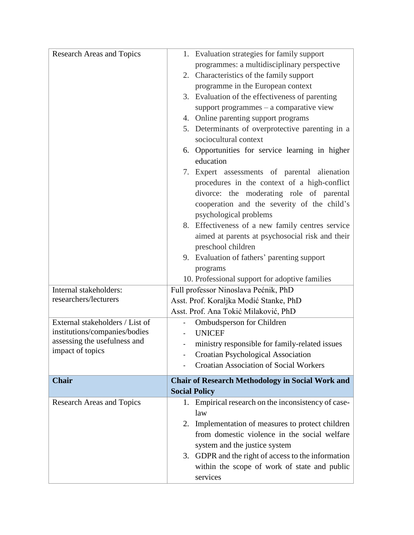| <b>Research Areas and Topics</b> | 1. Evaluation strategies for family support             |  |  |  |
|----------------------------------|---------------------------------------------------------|--|--|--|
|                                  | programmes: a multidisciplinary perspective             |  |  |  |
|                                  | 2. Characteristics of the family support                |  |  |  |
|                                  | programme in the European context                       |  |  |  |
|                                  | 3. Evaluation of the effectiveness of parenting         |  |  |  |
|                                  | support programmes - a comparative view                 |  |  |  |
|                                  | 4. Online parenting support programs                    |  |  |  |
|                                  | 5. Determinants of overprotective parenting in a        |  |  |  |
|                                  | sociocultural context                                   |  |  |  |
|                                  | 6. Opportunities for service learning in higher         |  |  |  |
|                                  | education                                               |  |  |  |
|                                  | 7. Expert assessments of parental alienation            |  |  |  |
|                                  | procedures in the context of a high-conflict            |  |  |  |
|                                  | divorce: the moderating role of parental                |  |  |  |
|                                  | cooperation and the severity of the child's             |  |  |  |
|                                  | psychological problems                                  |  |  |  |
|                                  | 8. Effectiveness of a new family centres service        |  |  |  |
|                                  | aimed at parents at psychosocial risk and their         |  |  |  |
|                                  | preschool children                                      |  |  |  |
|                                  | 9. Evaluation of fathers' parenting support             |  |  |  |
|                                  | programs                                                |  |  |  |
|                                  | 10. Professional support for adoptive families          |  |  |  |
| Internal stakeholders:           | Full professor Ninoslava Pećnik, PhD                    |  |  |  |
| researchers/lecturers            | Asst. Prof. Koraljka Modić Stanke, PhD                  |  |  |  |
|                                  | Asst. Prof. Ana Tokić Milaković, PhD                    |  |  |  |
| External stakeholders / List of  | Ombudsperson for Children                               |  |  |  |
| institutions/companies/bodies    | <b>UNICEF</b>                                           |  |  |  |
| assessing the usefulness and     | ministry responsible for family-related issues          |  |  |  |
| impact of topics                 | Croatian Psychological Association                      |  |  |  |
|                                  | <b>Croatian Association of Social Workers</b>           |  |  |  |
| <b>Chair</b>                     | <b>Chair of Research Methodology in Social Work and</b> |  |  |  |
|                                  | <b>Social Policy</b>                                    |  |  |  |
| <b>Research Areas and Topics</b> | 1. Empirical research on the inconsistency of case-     |  |  |  |
|                                  | law                                                     |  |  |  |
|                                  | Implementation of measures to protect children<br>2.    |  |  |  |
|                                  | from domestic violence in the social welfare            |  |  |  |
|                                  | system and the justice system                           |  |  |  |
|                                  | 3. GDPR and the right of access to the information      |  |  |  |
|                                  | within the scope of work of state and public            |  |  |  |
|                                  | services                                                |  |  |  |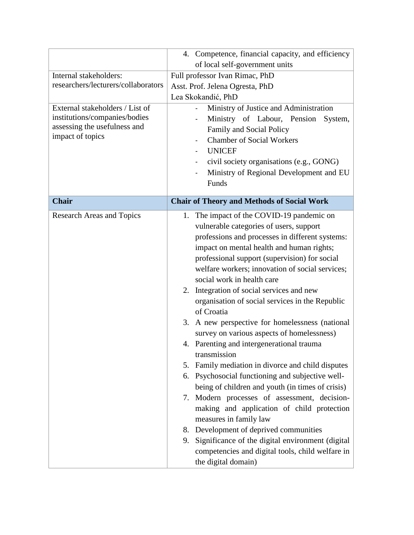|                                                  | 4. Competence, financial capacity, and efficiency      |  |  |  |
|--------------------------------------------------|--------------------------------------------------------|--|--|--|
|                                                  | of local self-government units                         |  |  |  |
| Internal stakeholders:                           | Full professor Ivan Rimac, PhD                         |  |  |  |
| researchers/lecturers/collaborators              | Asst. Prof. Jelena Ogresta, PhD                        |  |  |  |
|                                                  | Lea Skokandić, PhD                                     |  |  |  |
| External stakeholders / List of                  | Ministry of Justice and Administration                 |  |  |  |
| institutions/companies/bodies                    | Ministry of Labour, Pension<br>System,                 |  |  |  |
| assessing the usefulness and<br>impact of topics | Family and Social Policy                               |  |  |  |
|                                                  | <b>Chamber of Social Workers</b>                       |  |  |  |
|                                                  | <b>UNICEF</b>                                          |  |  |  |
|                                                  | civil society organisations (e.g., GONG)               |  |  |  |
|                                                  | Ministry of Regional Development and EU                |  |  |  |
|                                                  | Funds                                                  |  |  |  |
| <b>Chair</b>                                     | <b>Chair of Theory and Methods of Social Work</b>      |  |  |  |
| <b>Research Areas and Topics</b>                 | The impact of the COVID-19 pandemic on<br>1.           |  |  |  |
|                                                  | vulnerable categories of users, support                |  |  |  |
|                                                  | professions and processes in different systems:        |  |  |  |
|                                                  | impact on mental health and human rights;              |  |  |  |
|                                                  | professional support (supervision) for social          |  |  |  |
|                                                  | welfare workers; innovation of social services;        |  |  |  |
|                                                  | social work in health care                             |  |  |  |
|                                                  | Integration of social services and new<br>2.           |  |  |  |
|                                                  | organisation of social services in the Republic        |  |  |  |
|                                                  | of Croatia                                             |  |  |  |
|                                                  | A new perspective for homelessness (national<br>3.     |  |  |  |
|                                                  | survey on various aspects of homelessness)             |  |  |  |
|                                                  | 4. Parenting and intergenerational trauma              |  |  |  |
|                                                  | transmission                                           |  |  |  |
|                                                  | Family mediation in divorce and child disputes<br>5.   |  |  |  |
|                                                  | Psychosocial functioning and subjective well-<br>6.    |  |  |  |
|                                                  | being of children and youth (in times of crisis)       |  |  |  |
|                                                  | Modern processes of assessment, decision-<br>7.        |  |  |  |
|                                                  | making and application of child protection             |  |  |  |
|                                                  | measures in family law                                 |  |  |  |
|                                                  | 8. Development of deprived communities                 |  |  |  |
|                                                  | Significance of the digital environment (digital<br>9. |  |  |  |
|                                                  | competencies and digital tools, child welfare in       |  |  |  |
|                                                  | the digital domain)                                    |  |  |  |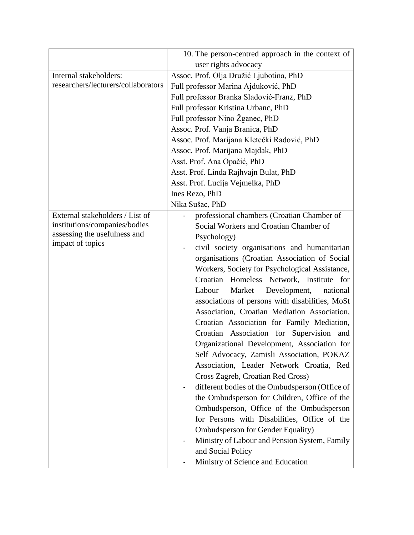|                                                                                                                      | 10. The person-centred approach in the context of                                                                                                                                                                                                                                                                                                                                                                                                                                                                                                                                                                                                                                                                                                                                                                                                                                                                                                                                                                                                                                                                                                                                                        |  |  |  |
|----------------------------------------------------------------------------------------------------------------------|----------------------------------------------------------------------------------------------------------------------------------------------------------------------------------------------------------------------------------------------------------------------------------------------------------------------------------------------------------------------------------------------------------------------------------------------------------------------------------------------------------------------------------------------------------------------------------------------------------------------------------------------------------------------------------------------------------------------------------------------------------------------------------------------------------------------------------------------------------------------------------------------------------------------------------------------------------------------------------------------------------------------------------------------------------------------------------------------------------------------------------------------------------------------------------------------------------|--|--|--|
|                                                                                                                      | user rights advocacy                                                                                                                                                                                                                                                                                                                                                                                                                                                                                                                                                                                                                                                                                                                                                                                                                                                                                                                                                                                                                                                                                                                                                                                     |  |  |  |
| Internal stakeholders:                                                                                               | Assoc. Prof. Olja Družić Ljubotina, PhD                                                                                                                                                                                                                                                                                                                                                                                                                                                                                                                                                                                                                                                                                                                                                                                                                                                                                                                                                                                                                                                                                                                                                                  |  |  |  |
| researchers/lecturers/collaborators                                                                                  | Full professor Marina Ajduković, PhD                                                                                                                                                                                                                                                                                                                                                                                                                                                                                                                                                                                                                                                                                                                                                                                                                                                                                                                                                                                                                                                                                                                                                                     |  |  |  |
|                                                                                                                      | Full professor Branka Sladović-Franz, PhD                                                                                                                                                                                                                                                                                                                                                                                                                                                                                                                                                                                                                                                                                                                                                                                                                                                                                                                                                                                                                                                                                                                                                                |  |  |  |
|                                                                                                                      | Full professor Kristina Urbanc, PhD                                                                                                                                                                                                                                                                                                                                                                                                                                                                                                                                                                                                                                                                                                                                                                                                                                                                                                                                                                                                                                                                                                                                                                      |  |  |  |
|                                                                                                                      | Full professor Nino Žganec, PhD                                                                                                                                                                                                                                                                                                                                                                                                                                                                                                                                                                                                                                                                                                                                                                                                                                                                                                                                                                                                                                                                                                                                                                          |  |  |  |
|                                                                                                                      | Assoc. Prof. Vanja Branica, PhD                                                                                                                                                                                                                                                                                                                                                                                                                                                                                                                                                                                                                                                                                                                                                                                                                                                                                                                                                                                                                                                                                                                                                                          |  |  |  |
|                                                                                                                      | Assoc. Prof. Marijana Kletečki Radović, PhD                                                                                                                                                                                                                                                                                                                                                                                                                                                                                                                                                                                                                                                                                                                                                                                                                                                                                                                                                                                                                                                                                                                                                              |  |  |  |
|                                                                                                                      | Assoc. Prof. Marijana Majdak, PhD                                                                                                                                                                                                                                                                                                                                                                                                                                                                                                                                                                                                                                                                                                                                                                                                                                                                                                                                                                                                                                                                                                                                                                        |  |  |  |
|                                                                                                                      | Asst. Prof. Ana Opačić, PhD                                                                                                                                                                                                                                                                                                                                                                                                                                                                                                                                                                                                                                                                                                                                                                                                                                                                                                                                                                                                                                                                                                                                                                              |  |  |  |
|                                                                                                                      |                                                                                                                                                                                                                                                                                                                                                                                                                                                                                                                                                                                                                                                                                                                                                                                                                                                                                                                                                                                                                                                                                                                                                                                                          |  |  |  |
|                                                                                                                      |                                                                                                                                                                                                                                                                                                                                                                                                                                                                                                                                                                                                                                                                                                                                                                                                                                                                                                                                                                                                                                                                                                                                                                                                          |  |  |  |
|                                                                                                                      |                                                                                                                                                                                                                                                                                                                                                                                                                                                                                                                                                                                                                                                                                                                                                                                                                                                                                                                                                                                                                                                                                                                                                                                                          |  |  |  |
|                                                                                                                      |                                                                                                                                                                                                                                                                                                                                                                                                                                                                                                                                                                                                                                                                                                                                                                                                                                                                                                                                                                                                                                                                                                                                                                                                          |  |  |  |
| External stakeholders / List of<br>institutions/companies/bodies<br>assessing the usefulness and<br>impact of topics | Asst. Prof. Linda Rajhvajn Bulat, PhD<br>Asst. Prof. Lucija Vejmelka, PhD<br>Ines Rezo, PhD<br>Nika Sušac, PhD<br>professional chambers (Croatian Chamber of<br>Social Workers and Croatian Chamber of<br>Psychology)<br>civil society organisations and humanitarian<br>organisations (Croatian Association of Social<br>Workers, Society for Psychological Assistance,<br>Croatian Homeless Network, Institute for<br>Market<br>Labour<br>Development,<br>national<br>associations of persons with disabilities, MoSt<br>Association, Croatian Mediation Association,<br>Croatian Association for Family Mediation,<br>Croatian Association for Supervision<br>and<br>Organizational Development, Association for<br>Self Advocacy, Zamisli Association, POKAZ<br>Association, Leader Network Croatia, Red<br>Cross Zagreb, Croatian Red Cross)<br>different bodies of the Ombudsperson (Office of<br>the Ombudsperson for Children, Office of the<br>Ombudsperson, Office of the Ombudsperson<br>for Persons with Disabilities, Office of the<br><b>Ombudsperson for Gender Equality</b> )<br>Ministry of Labour and Pension System, Family<br>and Social Policy<br>Ministry of Science and Education |  |  |  |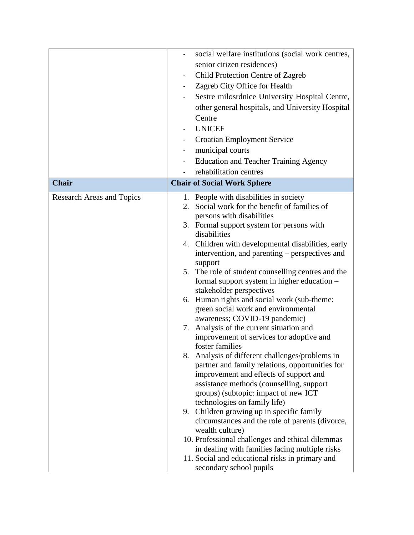|                                  | social welfare institutions (social work centres,                         |
|----------------------------------|---------------------------------------------------------------------------|
|                                  | senior citizen residences)                                                |
|                                  | Child Protection Centre of Zagreb                                         |
|                                  | Zagreb City Office for Health<br>$\overline{\phantom{0}}$                 |
|                                  | Sestre milosrdnice University Hospital Centre,                            |
|                                  | other general hospitals, and University Hospital                          |
|                                  | Centre                                                                    |
|                                  | <b>UNICEF</b>                                                             |
|                                  | <b>Croatian Employment Service</b>                                        |
|                                  | municipal courts                                                          |
|                                  | <b>Education and Teacher Training Agency</b>                              |
|                                  | rehabilitation centres                                                    |
| <b>Chair</b>                     | <b>Chair of Social Work Sphere</b>                                        |
| <b>Research Areas and Topics</b> | People with disabilities in society<br>1.                                 |
|                                  | Social work for the benefit of families of<br>2.                          |
|                                  | persons with disabilities                                                 |
|                                  | 3. Formal support system for persons with                                 |
|                                  | disabilities                                                              |
|                                  | 4. Children with developmental disabilities, early                        |
|                                  | intervention, and parenting – perspectives and<br>support                 |
|                                  | 5. The role of student counselling centres and the                        |
|                                  | formal support system in higher education -                               |
|                                  | stakeholder perspectives                                                  |
|                                  | 6. Human rights and social work (sub-theme:                               |
|                                  | green social work and environmental                                       |
|                                  | awareness; COVID-19 pandemic)<br>7. Analysis of the current situation and |
|                                  | improvement of services for adoptive and                                  |
|                                  | foster families                                                           |
|                                  | Analysis of different challenges/problems in<br>8.                        |
|                                  | partner and family relations, opportunities for                           |
|                                  | improvement and effects of support and                                    |
|                                  | assistance methods (counselling, support                                  |
|                                  | groups) (subtopic: impact of new ICT<br>technologies on family life)      |
|                                  | 9. Children growing up in specific family                                 |
|                                  | circumstances and the role of parents (divorce,                           |
|                                  | wealth culture)                                                           |
|                                  | 10. Professional challenges and ethical dilemmas                          |
|                                  | in dealing with families facing multiple risks                            |
|                                  | 11. Social and educational risks in primary and                           |
|                                  | secondary school pupils                                                   |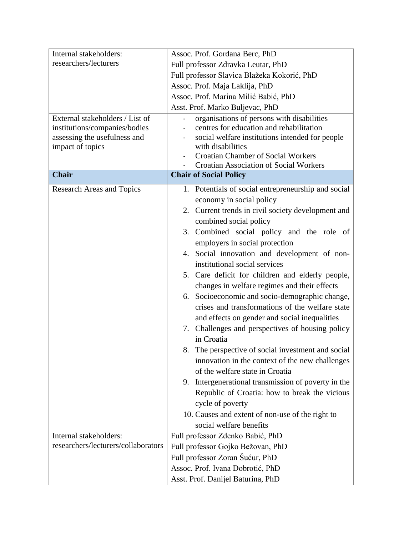| Internal stakeholders:              | Assoc. Prof. Gordana Berc, PhD                                                             |  |  |  |
|-------------------------------------|--------------------------------------------------------------------------------------------|--|--|--|
| researchers/lecturers               | Full professor Zdravka Leutar, PhD                                                         |  |  |  |
|                                     | Full professor Slavica Blažeka Kokorić, PhD                                                |  |  |  |
|                                     | Assoc. Prof. Maja Laklija, PhD                                                             |  |  |  |
|                                     | Assoc. Prof. Marina Milić Babić, PhD                                                       |  |  |  |
|                                     | Asst. Prof. Marko Buljevac, PhD                                                            |  |  |  |
| External stakeholders / List of     | organisations of persons with disabilities                                                 |  |  |  |
| institutions/companies/bodies       | centres for education and rehabilitation                                                   |  |  |  |
| assessing the usefulness and        | social welfare institutions intended for people                                            |  |  |  |
| impact of topics                    | with disabilities                                                                          |  |  |  |
|                                     | <b>Croatian Chamber of Social Workers</b><br><b>Croatian Association of Social Workers</b> |  |  |  |
| <b>Chair</b>                        | <b>Chair of Social Policy</b>                                                              |  |  |  |
|                                     |                                                                                            |  |  |  |
| <b>Research Areas and Topics</b>    | 1. Potentials of social entrepreneurship and social                                        |  |  |  |
|                                     | economy in social policy                                                                   |  |  |  |
|                                     | 2. Current trends in civil society development and                                         |  |  |  |
|                                     | combined social policy                                                                     |  |  |  |
|                                     | 3. Combined social policy and the role of                                                  |  |  |  |
|                                     | employers in social protection                                                             |  |  |  |
|                                     | 4. Social innovation and development of non-                                               |  |  |  |
|                                     | institutional social services                                                              |  |  |  |
|                                     | 5. Care deficit for children and elderly people,                                           |  |  |  |
|                                     | changes in welfare regimes and their effects                                               |  |  |  |
|                                     | 6. Socioeconomic and socio-demographic change,                                             |  |  |  |
|                                     | crises and transformations of the welfare state                                            |  |  |  |
|                                     | and effects on gender and social inequalities                                              |  |  |  |
|                                     | 7. Challenges and perspectives of housing policy                                           |  |  |  |
|                                     | in Croatia                                                                                 |  |  |  |
|                                     | The perspective of social investment and social                                            |  |  |  |
|                                     | innovation in the context of the new challenges                                            |  |  |  |
|                                     | of the welfare state in Croatia                                                            |  |  |  |
|                                     | Intergenerational transmission of poverty in the<br>9.                                     |  |  |  |
|                                     | Republic of Croatia: how to break the vicious                                              |  |  |  |
|                                     | cycle of poverty                                                                           |  |  |  |
|                                     | 10. Causes and extent of non-use of the right to                                           |  |  |  |
|                                     | social welfare benefits                                                                    |  |  |  |
| Internal stakeholders:              | Full professor Zdenko Babić, PhD                                                           |  |  |  |
| researchers/lecturers/collaborators | Full professor Gojko Bežovan, PhD                                                          |  |  |  |
|                                     | Full professor Zoran Šućur, PhD                                                            |  |  |  |
|                                     | Assoc. Prof. Ivana Dobrotić, PhD                                                           |  |  |  |
|                                     | Asst. Prof. Danijel Baturina, PhD                                                          |  |  |  |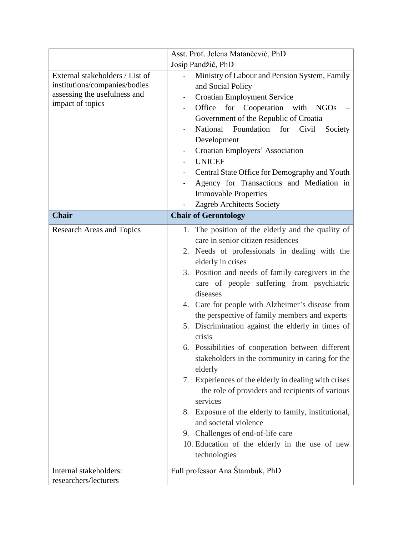|                                                                                                                      | Asst. Prof. Jelena Matančević, PhD                                                                                                                                                                                                                                                                                                                                                                                                                                                                                                                                                                                                                                                                                                                                                                                                                                                             |  |  |  |
|----------------------------------------------------------------------------------------------------------------------|------------------------------------------------------------------------------------------------------------------------------------------------------------------------------------------------------------------------------------------------------------------------------------------------------------------------------------------------------------------------------------------------------------------------------------------------------------------------------------------------------------------------------------------------------------------------------------------------------------------------------------------------------------------------------------------------------------------------------------------------------------------------------------------------------------------------------------------------------------------------------------------------|--|--|--|
|                                                                                                                      | Josip Pandžić, PhD                                                                                                                                                                                                                                                                                                                                                                                                                                                                                                                                                                                                                                                                                                                                                                                                                                                                             |  |  |  |
| External stakeholders / List of<br>institutions/companies/bodies<br>assessing the usefulness and<br>impact of topics | Ministry of Labour and Pension System, Family<br>and Social Policy<br><b>Croatian Employment Service</b><br>Office for Cooperation with NGOs<br>Government of the Republic of Croatia<br>National<br>Foundation<br>Civil<br>for<br>Society<br>Development<br>Croatian Employers' Association<br><b>UNICEF</b><br>Central State Office for Demography and Youth<br>Agency for Transactions and Mediation in<br><b>Immovable Properties</b><br>Zagreb Architects Society                                                                                                                                                                                                                                                                                                                                                                                                                         |  |  |  |
| <b>Chair</b>                                                                                                         | <b>Chair of Gerontology</b>                                                                                                                                                                                                                                                                                                                                                                                                                                                                                                                                                                                                                                                                                                                                                                                                                                                                    |  |  |  |
| <b>Research Areas and Topics</b>                                                                                     | The position of the elderly and the quality of<br>1.<br>care in senior citizen residences<br>2. Needs of professionals in dealing with the<br>elderly in crises<br>3. Position and needs of family caregivers in the<br>care of people suffering from psychiatric<br>diseases<br>4. Care for people with Alzheimer's disease from<br>the perspective of family members and experts<br>Discrimination against the elderly in times of<br>5.<br>crisis<br>6. Possibilities of cooperation between different<br>stakeholders in the community in caring for the<br>elderly<br>Experiences of the elderly in dealing with crises<br>7.<br>- the role of providers and recipients of various<br>services<br>Exposure of the elderly to family, institutional,<br>8.<br>and societal violence<br>9. Challenges of end-of-life care<br>10. Education of the elderly in the use of new<br>technologies |  |  |  |
| Internal stakeholders:<br>researchers/lecturers                                                                      | Full professor Ana Štambuk, PhD                                                                                                                                                                                                                                                                                                                                                                                                                                                                                                                                                                                                                                                                                                                                                                                                                                                                |  |  |  |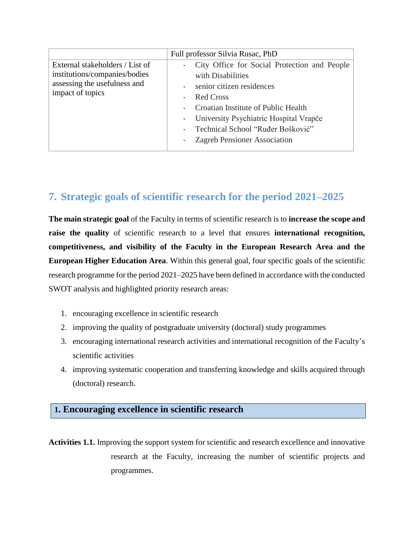|                                                                                                                      | Full professor Silvia Rusac, PhD                                                                                                                                                                                                                                                    |  |  |  |
|----------------------------------------------------------------------------------------------------------------------|-------------------------------------------------------------------------------------------------------------------------------------------------------------------------------------------------------------------------------------------------------------------------------------|--|--|--|
| External stakeholders / List of<br>institutions/companies/bodies<br>assessing the usefulness and<br>impact of topics | City Office for Social Protection and People<br>with Disabilities<br>- senior citizen residences<br><b>Red Cross</b><br>Croatian Institute of Public Health<br>- University Psychiatric Hospital Vrapče<br>Technical School "Ruđer Bošković"<br><b>Zagreb Pensioner Association</b> |  |  |  |

# **7. Strategic goals of scientific research for the period 2021–2025**

**The main strategic goal** of the Faculty in terms of scientific research is to **increase the scope and raise the quality** of scientific research to a level that ensures **international recognition, competitiveness, and visibility of the Faculty in the European Research Area and the European Higher Education Area**. Within this general goal, four specific goals of the scientific research programme for the period 2021–2025 have been defined in accordance with the conducted SWOT analysis and highlighted priority research areas:

- 1. encouraging excellence in scientific research
- 2. improving the quality of postgraduate university (doctoral) study programmes
- 3. encouraging international research activities and international recognition of the Faculty's scientific activities
- 4. improving systematic cooperation and transferring knowledge and skills acquired through (doctoral) research.

### **1. Encouraging excellence in scientific research**

**Activities 1.1.** Improving the support system for scientific and research excellence and innovative research at the Faculty, increasing the number of scientific projects and programmes.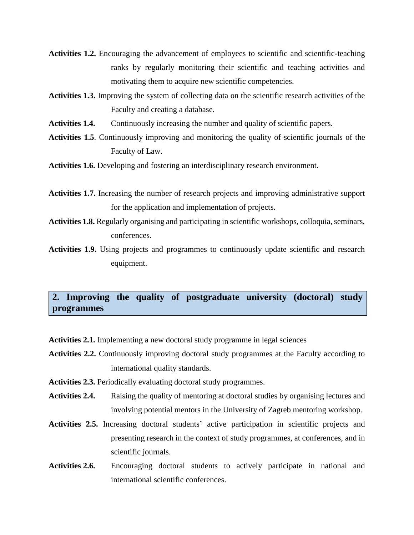- **Activities 1.2.** Encouraging the advancement of employees to scientific and scientific-teaching ranks by regularly monitoring their scientific and teaching activities and motivating them to acquire new scientific competencies.
- **Activities 1.3.** Improving the system of collecting data on the scientific research activities of the Faculty and creating a database.
- **Activities 1.4.** Continuously increasing the number and quality of scientific papers.
- **Activities 1.5**. Continuously improving and monitoring the quality of scientific journals of the Faculty of Law.
- **Activities 1.6.** Developing and fostering an interdisciplinary research environment.
- **Activities 1.7.** Increasing the number of research projects and improving administrative support for the application and implementation of projects.
- **Activities 1.8.** Regularly organising and participating in scientific workshops, colloquia, seminars, conferences.
- **Activities 1.9.** Using projects and programmes to continuously update scientific and research equipment.

## **2. Improving the quality of postgraduate university (doctoral) study programmes**

**Activities 2.1.** Implementing a new doctoral study programme in legal sciences

- **Activities 2.2.** Continuously improving doctoral study programmes at the Faculty according to international quality standards.
- **Activities 2.3.** Periodically evaluating doctoral study programmes.
- **Activities 2.4.** Raising the quality of mentoring at doctoral studies by organising lectures and involving potential mentors in the University of Zagreb mentoring workshop.
- **Activities 2.5.** Increasing doctoral students' active participation in scientific projects and presenting research in the context of study programmes, at conferences, and in scientific journals.
- **Activities 2.6.** Encouraging doctoral students to actively participate in national and international scientific conferences.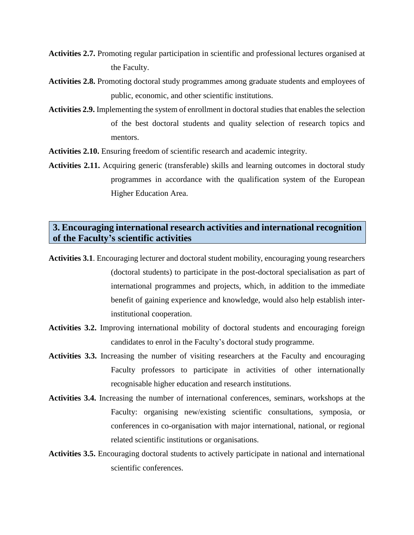- **Activities 2.7.** Promoting regular participation in scientific and professional lectures organised at the Faculty.
- **Activities 2.8.** Promoting doctoral study programmes among graduate students and employees of public, economic, and other scientific institutions.
- **Activities 2.9.** Implementing the system of enrollment in doctoral studies that enables the selection of the best doctoral students and quality selection of research topics and mentors.
- **Activities 2.10.** Ensuring freedom of scientific research and academic integrity.
- **Activities 2.11.** Acquiring generic (transferable) skills and learning outcomes in doctoral study programmes in accordance with the qualification system of the European Higher Education Area.

### **3. Encouraging international research activities and international recognition of the Faculty's scientific activities**

- **Activities 3.1**. Encouraging lecturer and doctoral student mobility, encouraging young researchers (doctoral students) to participate in the post-doctoral specialisation as part of international programmes and projects, which, in addition to the immediate benefit of gaining experience and knowledge, would also help establish interinstitutional cooperation.
- **Activities 3.2.** Improving international mobility of doctoral students and encouraging foreign candidates to enrol in the Faculty's doctoral study programme.
- **Activities 3.3.** Increasing the number of visiting researchers at the Faculty and encouraging Faculty professors to participate in activities of other internationally recognisable higher education and research institutions.
- **Activities 3.4.** Increasing the number of international conferences, seminars, workshops at the Faculty: organising new/existing scientific consultations, symposia, or conferences in co-organisation with major international, national, or regional related scientific institutions or organisations.
- **Activities 3.5.** Encouraging doctoral students to actively participate in national and international scientific conferences.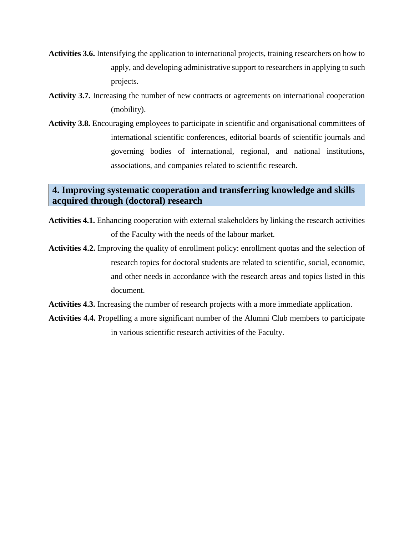- **Activities 3.6.** Intensifying the application to international projects, training researchers on how to apply, and developing administrative support to researchers in applying to such projects.
- **Activity 3.7.** Increasing the number of new contracts or agreements on international cooperation (mobility).
- **Activity 3.8.** Encouraging employees to participate in scientific and organisational committees of international scientific conferences, editorial boards of scientific journals and governing bodies of international, regional, and national institutions, associations, and companies related to scientific research.

### **4. Improving systematic cooperation and transferring knowledge and skills acquired through (doctoral) research**

- **Activities 4.1.** Enhancing cooperation with external stakeholders by linking the research activities of the Faculty with the needs of the labour market.
- **Activities 4.2.** Improving the quality of enrollment policy: enrollment quotas and the selection of research topics for doctoral students are related to scientific, social, economic, and other needs in accordance with the research areas and topics listed in this document.
- **Activities 4.3.** Increasing the number of research projects with a more immediate application.
- **Activities 4.4.** Propelling a more significant number of the Alumni Club members to participate in various scientific research activities of the Faculty.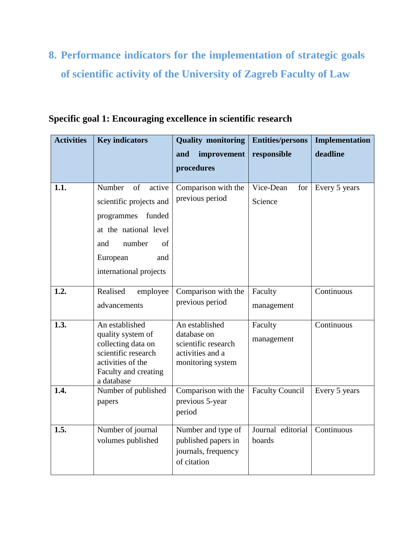# **8. Performance indicators for the implementation of strategic goals of scientific activity of the University of Zagreb Faculty of Law**

| <b>Activities</b> | <b>Key indicators</b>                             | <b>Quality monitoring</b>                  | <b>Entities/persons</b>     | Implementation |
|-------------------|---------------------------------------------------|--------------------------------------------|-----------------------------|----------------|
|                   |                                                   | improvement<br>and                         | responsible                 | deadline       |
|                   |                                                   | procedures                                 |                             |                |
| 1.1.              | Number<br>of<br>active<br>scientific projects and | Comparison with the<br>previous period     | Vice-Dean<br>for<br>Science | Every 5 years  |
|                   | funded<br>programmes                              |                                            |                             |                |
|                   | at the national level                             |                                            |                             |                |
|                   | number<br>and<br>of                               |                                            |                             |                |
|                   | European<br>and                                   |                                            |                             |                |
|                   | international projects                            |                                            |                             |                |
| 1.2.              | Realised<br>employee                              | Comparison with the                        | Faculty                     | Continuous     |
|                   | advancements                                      | previous period                            | management                  |                |
| 1.3.              | An established                                    | An established<br>database on              | Faculty                     | Continuous     |
|                   | quality system of<br>collecting data on           | scientific research                        | management                  |                |
|                   | scientific research<br>activities of the          | activities and a                           |                             |                |
|                   | Faculty and creating<br>a database                | monitoring system                          |                             |                |
| 1.4.              | Number of published                               | Comparison with the<br>previous 5-year     | <b>Faculty Council</b>      | Every 5 years  |
|                   | papers                                            | period                                     |                             |                |
| 1.5.              | Number of journal                                 | Number and type of                         | Journal editorial           | Continuous     |
|                   | volumes published                                 | published papers in<br>journals, frequency | boards                      |                |
|                   |                                                   | of citation                                |                             |                |
|                   |                                                   |                                            |                             |                |

**Specific goal 1: Encouraging excellence in scientific research**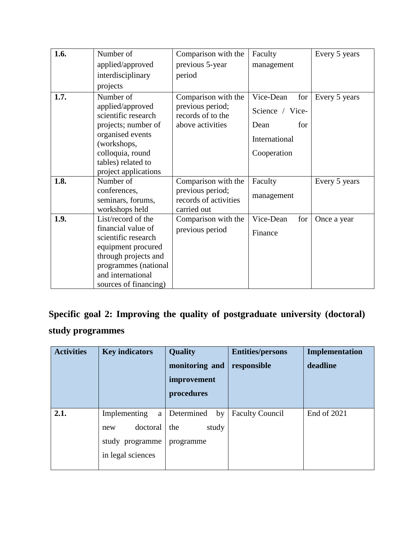| 1.6. | Number of                               | Comparison with the                   | Faculty          | Every 5 years |
|------|-----------------------------------------|---------------------------------------|------------------|---------------|
|      | applied/approved                        | previous 5-year                       | management       |               |
|      | interdisciplinary                       | period                                |                  |               |
|      | projects                                |                                       |                  |               |
| 1.7. | Number of                               | Comparison with the                   | Vice-Dean<br>for | Every 5 years |
|      | applied/approved<br>scientific research | previous period;<br>records of to the | Science / Vice-  |               |
|      | projects; number of                     | above activities                      | for<br>Dean      |               |
|      | organised events<br>(workshops,         |                                       | International    |               |
|      | colloquia, round                        |                                       | Cooperation      |               |
|      | tables) related to                      |                                       |                  |               |
|      | project applications                    |                                       |                  |               |
| 1.8. | Number of                               | Comparison with the                   | Faculty          | Every 5 years |
|      | conferences,                            | previous period;                      | management       |               |
|      | seminars, forums,                       | records of activities                 |                  |               |
|      | workshops held                          | carried out                           |                  |               |
| 1.9. | List/record of the                      | Comparison with the                   | for<br>Vice-Dean | Once a year   |
|      | financial value of                      | previous period                       | Finance          |               |
|      | scientific research                     |                                       |                  |               |
|      | equipment procured                      |                                       |                  |               |
|      | through projects and                    |                                       |                  |               |
|      | programmes (national                    |                                       |                  |               |
|      | and international                       |                                       |                  |               |
|      | sources of financing)                   |                                       |                  |               |

# **Specific goal 2: Improving the quality of postgraduate university (doctoral) study programmes**

| <b>Activities</b> | <b>Key indicators</b>                                                        | Quality<br>monitoring and<br>improvement<br>procedures | <b>Entities/persons</b><br>responsible | Implementation<br>deadline |
|-------------------|------------------------------------------------------------------------------|--------------------------------------------------------|----------------------------------------|----------------------------|
| 2.1.              | Implementing<br>a<br>doctoral<br>new<br>study programme<br>in legal sciences | Determined<br>by<br>study<br>the<br>programme          | <b>Faculty Council</b>                 | End of 2021                |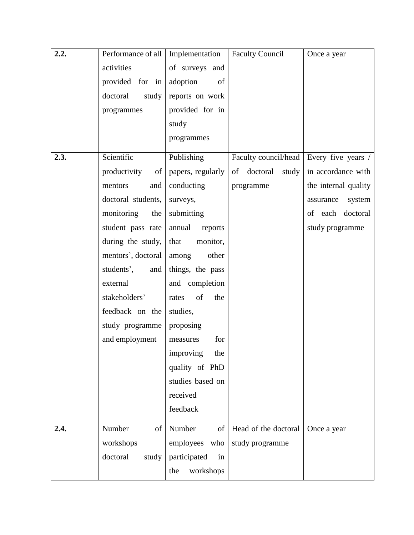| 2.2. | Performance of all | Implementation     | <b>Faculty Council</b>  | Once a year          |
|------|--------------------|--------------------|-------------------------|----------------------|
|      | activities         | of surveys and     |                         |                      |
|      | provided for in    | adoption<br>of     |                         |                      |
|      | doctoral<br>study  | reports on work    |                         |                      |
|      | programmes         | provided for in    |                         |                      |
|      |                    | study              |                         |                      |
|      |                    | programmes         |                         |                      |
| 2.3. | Scientific         | Publishing         | Faculty council/head    | Every five years /   |
|      | productivity<br>of | papers, regularly  | doctoral<br>of<br>study | in accordance with   |
|      | mentors<br>and     | conducting         | programme               | the internal quality |
|      | doctoral students, | surveys,           |                         | system<br>assurance  |
|      | monitoring<br>the  | submitting         |                         | of each doctoral     |
|      | student pass rate  | annual<br>reports  |                         | study programme      |
|      | during the study,  | that<br>monitor,   |                         |                      |
|      | mentors', doctoral | other<br>among     |                         |                      |
|      | students',<br>and  | things, the pass   |                         |                      |
|      | external           | and completion     |                         |                      |
|      | stakeholders'      | of<br>the<br>rates |                         |                      |
|      | feedback on the    | studies,           |                         |                      |
|      | study programme    | proposing          |                         |                      |
|      | and employment     | for<br>measures    |                         |                      |
|      |                    | improving<br>the   |                         |                      |
|      |                    | quality of PhD     |                         |                      |
|      |                    | studies based on   |                         |                      |
|      |                    | received           |                         |                      |
|      |                    | feedback           |                         |                      |
| 2.4. | Number<br>of       | Number<br>of       | Head of the doctoral    | Once a year          |
|      | workshops          | employees who      | study programme         |                      |
|      | doctoral<br>study  | participated<br>in |                         |                      |
|      |                    | workshops<br>the   |                         |                      |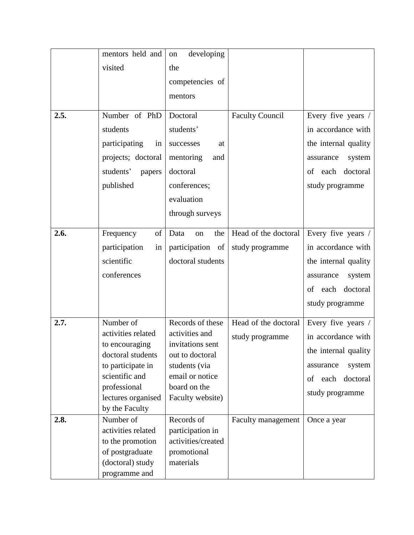|      | mentors held and                     | developing<br>on                   |                        |                      |
|------|--------------------------------------|------------------------------------|------------------------|----------------------|
|      | visited                              | the                                |                        |                      |
|      |                                      | competencies of                    |                        |                      |
|      |                                      | mentors                            |                        |                      |
|      |                                      |                                    |                        |                      |
| 2.5. | Number of PhD                        | Doctoral                           | <b>Faculty Council</b> | Every five years /   |
|      | students                             | students'                          |                        | in accordance with   |
|      | participating<br>in                  | successes<br>at                    |                        | the internal quality |
|      | projects; doctoral                   | mentoring<br>and                   |                        | system<br>assurance  |
|      | students'<br>papers                  | doctoral                           |                        | each doctoral<br>of  |
|      | published                            | conferences;                       |                        | study programme      |
|      |                                      | evaluation                         |                        |                      |
|      |                                      | through surveys                    |                        |                      |
|      |                                      |                                    |                        |                      |
| 2.6. | Frequency<br>of                      | Data<br>the<br>on                  | Head of the doctoral   | Every five years /   |
|      | participation<br>in                  | participation of                   | study programme        | in accordance with   |
|      | scientific                           | doctoral students                  |                        | the internal quality |
|      | conferences                          |                                    |                        | system<br>assurance  |
|      |                                      |                                    |                        | each doctoral<br>of  |
|      |                                      |                                    |                        | study programme      |
|      |                                      |                                    |                        |                      |
| 2.7. | Number of                            | Records of these                   | Head of the doctoral   | Every five years /   |
|      | activities related<br>to encouraging | activities and<br>invitations sent | study programme        | in accordance with   |
|      | doctoral students                    | out to doctoral                    |                        | the internal quality |
|      | to participate in                    | students (via                      |                        | system<br>assurance  |
|      | scientific and                       | email or notice                    |                        | of<br>each doctoral  |
|      | professional                         | board on the                       |                        | study programme      |
|      | lectures organised                   | Faculty website)                   |                        |                      |
|      | by the Faculty                       |                                    |                        |                      |
| 2.8. | Number of                            | Records of                         | Faculty management     | Once a year          |
|      | activities related                   | participation in                   |                        |                      |
|      | to the promotion                     | activities/created                 |                        |                      |
|      | of postgraduate<br>(doctoral) study  | promotional<br>materials           |                        |                      |
|      |                                      |                                    |                        |                      |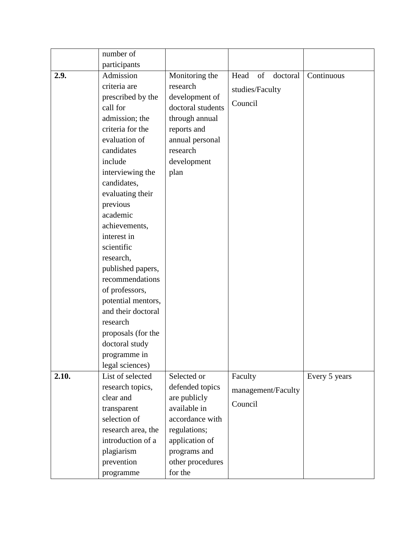|       | number of          |                   |                        |               |
|-------|--------------------|-------------------|------------------------|---------------|
|       | participants       |                   |                        |               |
| 2.9.  | Admission          | Monitoring the    | Head<br>of<br>doctoral | Continuous    |
|       | criteria are       | research          | studies/Faculty        |               |
|       | prescribed by the  | development of    |                        |               |
|       | call for           | doctoral students | Council                |               |
|       | admission; the     | through annual    |                        |               |
|       | criteria for the   | reports and       |                        |               |
|       | evaluation of      | annual personal   |                        |               |
|       | candidates         | research          |                        |               |
|       | include            | development       |                        |               |
|       | interviewing the   | plan              |                        |               |
|       | candidates,        |                   |                        |               |
|       | evaluating their   |                   |                        |               |
|       | previous           |                   |                        |               |
|       | academic           |                   |                        |               |
|       | achievements,      |                   |                        |               |
|       | interest in        |                   |                        |               |
|       | scientific         |                   |                        |               |
|       | research,          |                   |                        |               |
|       | published papers,  |                   |                        |               |
|       | recommendations    |                   |                        |               |
|       | of professors,     |                   |                        |               |
|       | potential mentors, |                   |                        |               |
|       | and their doctoral |                   |                        |               |
|       | research           |                   |                        |               |
|       | proposals (for the |                   |                        |               |
|       | doctoral study     |                   |                        |               |
|       | programme in       |                   |                        |               |
|       | legal sciences)    |                   |                        |               |
| 2.10. | List of selected   | Selected or       | Faculty                | Every 5 years |
|       | research topics,   | defended topics   | management/Faculty     |               |
|       | clear and          | are publicly      | Council                |               |
|       | transparent        | available in      |                        |               |
|       | selection of       | accordance with   |                        |               |
|       | research area, the | regulations;      |                        |               |
|       | introduction of a  | application of    |                        |               |
|       | plagiarism         | programs and      |                        |               |
|       | prevention         | other procedures  |                        |               |
|       | programme          | for the           |                        |               |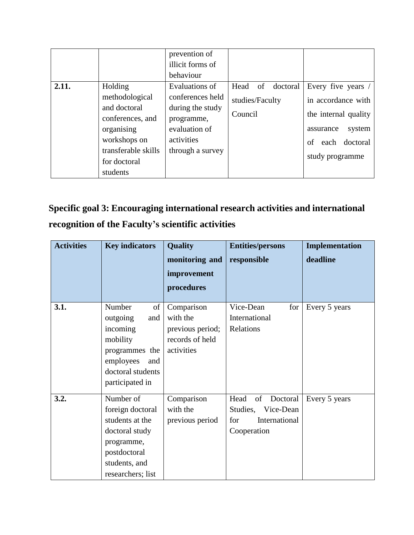|       |                                  | prevention of<br>illicit forms of |                          |                      |
|-------|----------------------------------|-----------------------------------|--------------------------|----------------------|
|       |                                  | behaviour                         |                          |                      |
| 2.11. | Holding                          | Evaluations of                    | doctoral<br>Head<br>- of | Every five years /   |
|       | methodological                   | conferences held                  | studies/Faculty          | in accordance with   |
|       | and doctoral<br>conferences, and | during the study<br>programme,    | Council                  | the internal quality |
|       | organising                       | evaluation of                     |                          | system<br>assurance  |
|       | workshops on                     | activities                        |                          | each doctoral<br>of  |
|       | transferable skills              | through a survey                  |                          | study programme      |
|       | for doctoral                     |                                   |                          |                      |
|       | students                         |                                   |                          |                      |

# **Specific goal 3: Encouraging international research activities and international recognition of the Faculty's scientific activities**

| <b>Activities</b> | <b>Key indicators</b>                                                                                                                  | <b>Quality</b>                                                              | <b>Entities/persons</b>                                                                | Implementation |
|-------------------|----------------------------------------------------------------------------------------------------------------------------------------|-----------------------------------------------------------------------------|----------------------------------------------------------------------------------------|----------------|
|                   |                                                                                                                                        | monitoring and                                                              | responsible                                                                            | deadline       |
|                   |                                                                                                                                        | improvement                                                                 |                                                                                        |                |
|                   |                                                                                                                                        | procedures                                                                  |                                                                                        |                |
| 3.1.              | Number<br>of<br>outgoing<br>and<br>incoming<br>mobility<br>programmes the<br>employees<br>and<br>doctoral students<br>participated in  | Comparison<br>with the<br>previous period;<br>records of held<br>activities | Vice-Dean<br>for<br>International<br>Relations                                         | Every 5 years  |
| 3.2.              | Number of<br>foreign doctoral<br>students at the<br>doctoral study<br>programme,<br>postdoctoral<br>students, and<br>researchers; list | Comparison<br>with the<br>previous period                                   | Doctoral<br>Head<br>of<br>Studies,<br>Vice-Dean<br>International<br>for<br>Cooperation | Every 5 years  |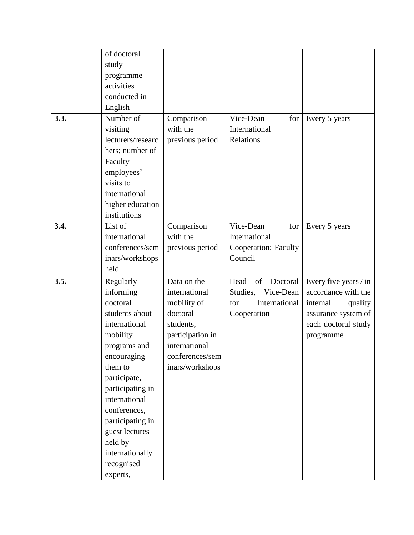|      | of doctoral       |                  |                        |                       |
|------|-------------------|------------------|------------------------|-----------------------|
|      | study             |                  |                        |                       |
|      | programme         |                  |                        |                       |
|      | activities        |                  |                        |                       |
|      | conducted in      |                  |                        |                       |
|      | English           |                  |                        |                       |
| 3.3. | Number of         | Comparison       | Vice-Dean<br>for       | Every 5 years         |
|      | visiting          | with the         | International          |                       |
|      | lecturers/researc | previous period  | Relations              |                       |
|      | hers; number of   |                  |                        |                       |
|      | Faculty           |                  |                        |                       |
|      | employees'        |                  |                        |                       |
|      | visits to         |                  |                        |                       |
|      | international     |                  |                        |                       |
|      | higher education  |                  |                        |                       |
|      | institutions      |                  |                        |                       |
| 3.4. | List of           | Comparison       | Vice-Dean<br>for       | Every 5 years         |
|      | international     | with the         | International          |                       |
|      | conferences/sem   | previous period  | Cooperation; Faculty   |                       |
|      | inars/workshops   |                  | Council                |                       |
|      | held              |                  |                        |                       |
| 3.5. | Regularly         | Data on the      | Doctoral<br>Head<br>of | Every five years / in |
|      | informing         | international    | Studies,<br>Vice-Dean  | accordance with the   |
|      | doctoral          | mobility of      | International<br>for   | quality<br>internal   |
|      | students about    | doctoral         | Cooperation            | assurance system of   |
|      | international     | students,        |                        | each doctoral study   |
|      | mobility          | participation in |                        | programme             |
|      | programs and      | international    |                        |                       |
|      | encouraging       | conferences/sem  |                        |                       |
|      | them to           | inars/workshops  |                        |                       |
|      | participate,      |                  |                        |                       |
|      | participating in  |                  |                        |                       |
|      | international     |                  |                        |                       |
|      | conferences,      |                  |                        |                       |
|      | participating in  |                  |                        |                       |
|      | guest lectures    |                  |                        |                       |
|      | held by           |                  |                        |                       |
|      | internationally   |                  |                        |                       |
|      | recognised        |                  |                        |                       |
|      | experts,          |                  |                        |                       |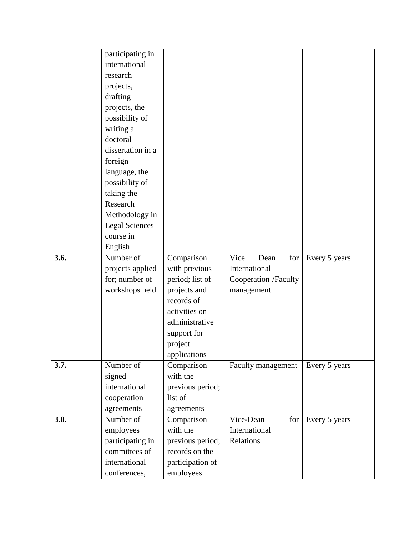|      | participating in      |                        |                      |               |
|------|-----------------------|------------------------|----------------------|---------------|
|      | international         |                        |                      |               |
|      | research              |                        |                      |               |
|      | projects,             |                        |                      |               |
|      | drafting              |                        |                      |               |
|      | projects, the         |                        |                      |               |
|      | possibility of        |                        |                      |               |
|      | writing a             |                        |                      |               |
|      | doctoral              |                        |                      |               |
|      | dissertation in a     |                        |                      |               |
|      | foreign               |                        |                      |               |
|      | language, the         |                        |                      |               |
|      | possibility of        |                        |                      |               |
|      | taking the            |                        |                      |               |
|      | Research              |                        |                      |               |
|      | Methodology in        |                        |                      |               |
|      | <b>Legal Sciences</b> |                        |                      |               |
|      | course in             |                        |                      |               |
|      | English               |                        |                      |               |
| 3.6. | Number of             | Comparison             | Vice<br>Dean<br>for  | Every 5 years |
|      | projects applied      | with previous          | International        |               |
|      | for; number of        | period; list of        | Cooperation /Faculty |               |
|      | workshops held        | projects and           | management           |               |
|      |                       | records of             |                      |               |
|      |                       | activities on          |                      |               |
|      |                       | administrative         |                      |               |
|      |                       | support for            |                      |               |
|      |                       | project                |                      |               |
|      |                       | applications           |                      |               |
| 3.7. | Number of             | Comparison             | Faculty management   | Every 5 years |
|      | signed                | with the               |                      |               |
|      | international         | previous period;       |                      |               |
|      | cooperation           | list of                |                      |               |
|      | agreements            | agreements             |                      |               |
| 3.8. | Number of             | Comparison<br>with the | Vice-Dean<br>for     | Every 5 years |
|      | employees             |                        | International        |               |
|      | participating in      | previous period;       | Relations            |               |
|      | committees of         | records on the         |                      |               |
|      | international         | participation of       |                      |               |
|      | conferences,          | employees              |                      |               |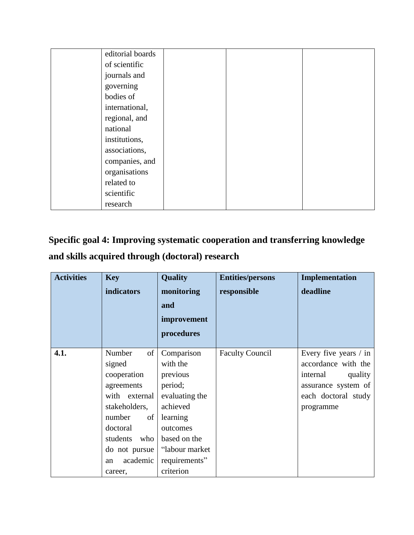| editorial boards |  |  |
|------------------|--|--|
| of scientific    |  |  |
| journals and     |  |  |
| governing        |  |  |
| bodies of        |  |  |
| international,   |  |  |
| regional, and    |  |  |
| national         |  |  |
| institutions,    |  |  |
| associations,    |  |  |
| companies, and   |  |  |
| organisations    |  |  |
| related to       |  |  |
| scientific       |  |  |
| research         |  |  |

# **Specific goal 4: Improving systematic cooperation and transferring knowledge and skills acquired through (doctoral) research**

| <b>Activities</b> | <b>Key</b>                                                                                                                                                                | <b>Quality</b>                                                                                                                                                       | <b>Entities/persons</b> | Implementation                                                                                                                   |
|-------------------|---------------------------------------------------------------------------------------------------------------------------------------------------------------------------|----------------------------------------------------------------------------------------------------------------------------------------------------------------------|-------------------------|----------------------------------------------------------------------------------------------------------------------------------|
|                   | indicators                                                                                                                                                                | monitoring                                                                                                                                                           | responsible             | deadline                                                                                                                         |
|                   |                                                                                                                                                                           | and                                                                                                                                                                  |                         |                                                                                                                                  |
|                   |                                                                                                                                                                           | improvement                                                                                                                                                          |                         |                                                                                                                                  |
|                   |                                                                                                                                                                           | procedures                                                                                                                                                           |                         |                                                                                                                                  |
| 4.1.              | Number<br>of<br>signed<br>cooperation<br>agreements<br>with external<br>stakeholders,<br>number<br>of  <br>doctoral<br>students<br>who<br>do not pursue<br>academic<br>an | Comparison<br>with the<br>previous<br>period;<br>evaluating the<br>achieved<br>learning<br>outcomes<br>based on the<br>"labour market"<br>requirements"<br>criterion | <b>Faculty Council</b>  | Every five years $/$ in<br>accordance with the<br>internal<br>quality<br>assurance system of<br>each doctoral study<br>programme |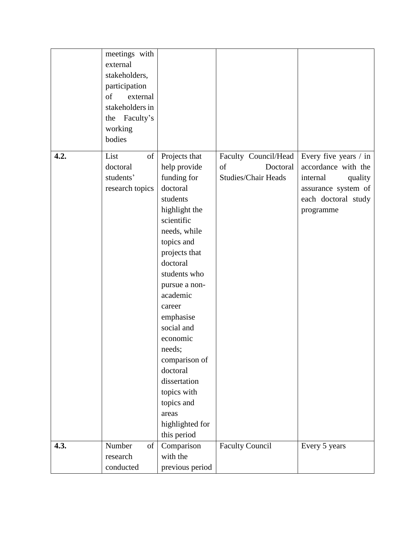|      | meetings with<br>external<br>stakeholders,<br>participation<br>of<br>external<br>stakeholders in<br>the Faculty's<br>working<br>bodies |                                                                                                                                                                                                                                                                                                                                                                                             |                                                                      |                                                                                                                                |
|------|----------------------------------------------------------------------------------------------------------------------------------------|---------------------------------------------------------------------------------------------------------------------------------------------------------------------------------------------------------------------------------------------------------------------------------------------------------------------------------------------------------------------------------------------|----------------------------------------------------------------------|--------------------------------------------------------------------------------------------------------------------------------|
| 4.2. | List<br>of<br>doctoral<br>students'<br>research topics                                                                                 | Projects that<br>help provide<br>funding for<br>doctoral<br>students<br>highlight the<br>scientific<br>needs, while<br>topics and<br>projects that<br>doctoral<br>students who<br>pursue a non-<br>academic<br>career<br>emphasise<br>social and<br>economic<br>needs;<br>comparison of<br>doctoral<br>dissertation<br>topics with<br>topics and<br>areas<br>highlighted for<br>this period | Faculty Council/Head<br>Doctoral<br>of<br><b>Studies/Chair Heads</b> | Every five years / in<br>accordance with the<br>internal<br>quality<br>assurance system of<br>each doctoral study<br>programme |
| 4.3. | Number<br>of<br>research<br>conducted                                                                                                  | Comparison<br>with the<br>previous period                                                                                                                                                                                                                                                                                                                                                   | <b>Faculty Council</b>                                               | Every 5 years                                                                                                                  |